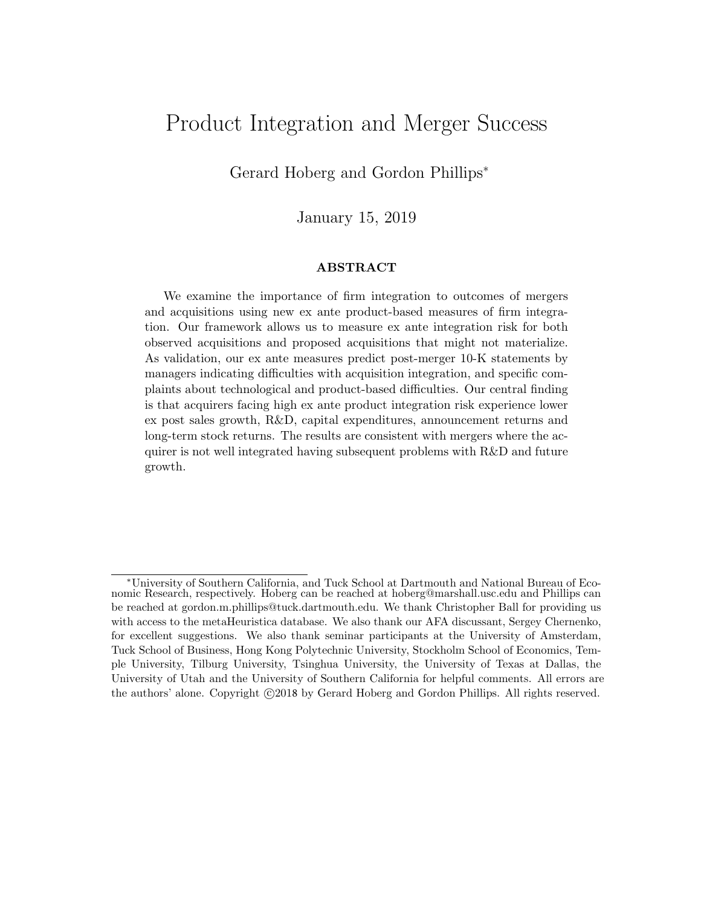# Product Integration and Merger Success

Gerard Hoberg and Gordon Phillips<sup>∗</sup>

January 15, 2019

#### ABSTRACT

We examine the importance of firm integration to outcomes of mergers and acquisitions using new ex ante product-based measures of firm integration. Our framework allows us to measure ex ante integration risk for both observed acquisitions and proposed acquisitions that might not materialize. As validation, our ex ante measures predict post-merger 10-K statements by managers indicating difficulties with acquisition integration, and specific complaints about technological and product-based difficulties. Our central finding is that acquirers facing high ex ante product integration risk experience lower ex post sales growth, R&D, capital expenditures, announcement returns and long-term stock returns. The results are consistent with mergers where the acquirer is not well integrated having subsequent problems with R&D and future growth.

<sup>∗</sup>University of Southern California, and Tuck School at Dartmouth and National Bureau of Economic Research, respectively. Hoberg can be reached at hoberg@marshall.usc.edu and Phillips can be reached at gordon.m.phillips@tuck.dartmouth.edu. We thank Christopher Ball for providing us with access to the metaHeuristica database. We also thank our AFA discussant, Sergey Chernenko, for excellent suggestions. We also thank seminar participants at the University of Amsterdam, Tuck School of Business, Hong Kong Polytechnic University, Stockholm School of Economics, Temple University, Tilburg University, Tsinghua University, the University of Texas at Dallas, the University of Utah and the University of Southern California for helpful comments. All errors are the authors' alone. Copyright  $\odot$ 2018 by Gerard Hoberg and Gordon Phillips. All rights reserved.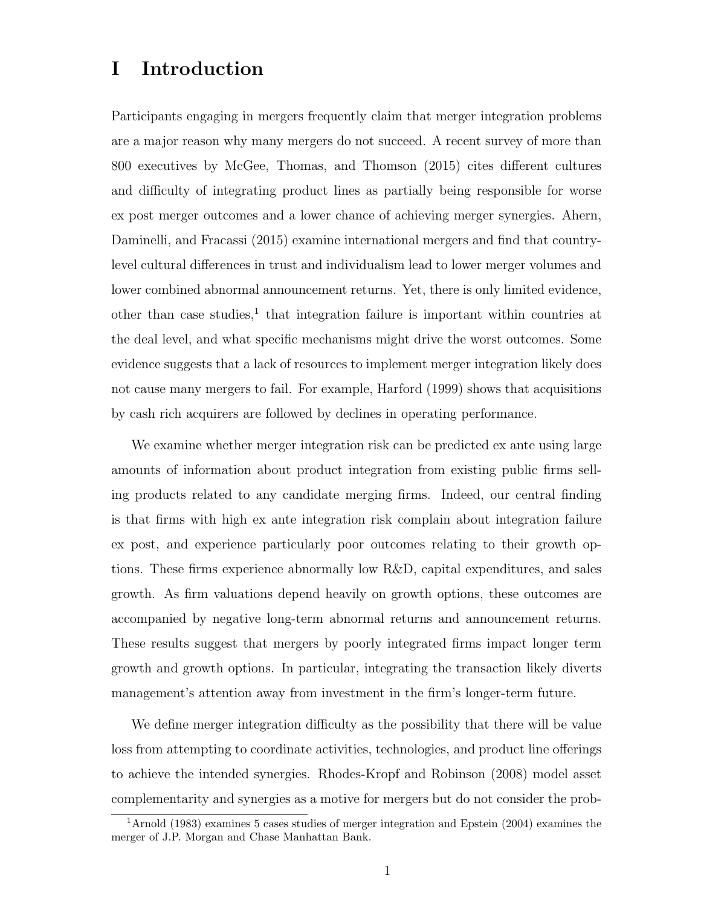## I Introduction

Participants engaging in mergers frequently claim that merger integration problems are a major reason why many mergers do not succeed. A recent survey of more than 800 executives by McGee, Thomas, and Thomson (2015) cites different cultures and difficulty of integrating product lines as partially being responsible for worse ex post merger outcomes and a lower chance of achieving merger synergies. Ahern, Daminelli, and Fracassi (2015) examine international mergers and find that countrylevel cultural differences in trust and individualism lead to lower merger volumes and lower combined abnormal announcement returns. Yet, there is only limited evidence, other than case studies,<sup>1</sup> that integration failure is important within countries at the deal level, and what specific mechanisms might drive the worst outcomes. Some evidence suggests that a lack of resources to implement merger integration likely does not cause many mergers to fail. For example, Harford (1999) shows that acquisitions by cash rich acquirers are followed by declines in operating performance.

We examine whether merger integration risk can be predicted ex ante using large amounts of information about product integration from existing public firms selling products related to any candidate merging firms. Indeed, our central finding is that firms with high ex ante integration risk complain about integration failure ex post, and experience particularly poor outcomes relating to their growth options. These firms experience abnormally low R&D, capital expenditures, and sales growth. As firm valuations depend heavily on growth options, these outcomes are accompanied by negative long-term abnormal returns and announcement returns. These results suggest that mergers by poorly integrated firms impact longer term growth and growth options. In particular, integrating the transaction likely diverts management's attention away from investment in the firm's longer-term future.

We define merger integration difficulty as the possibility that there will be value loss from attempting to coordinate activities, technologies, and product line offerings to achieve the intended synergies. Rhodes-Kropf and Robinson (2008) model asset complementarity and synergies as a motive for mergers but do not consider the prob-

<sup>1</sup>Arnold (1983) examines 5 cases studies of merger integration and Epstein (2004) examines the merger of J.P. Morgan and Chase Manhattan Bank.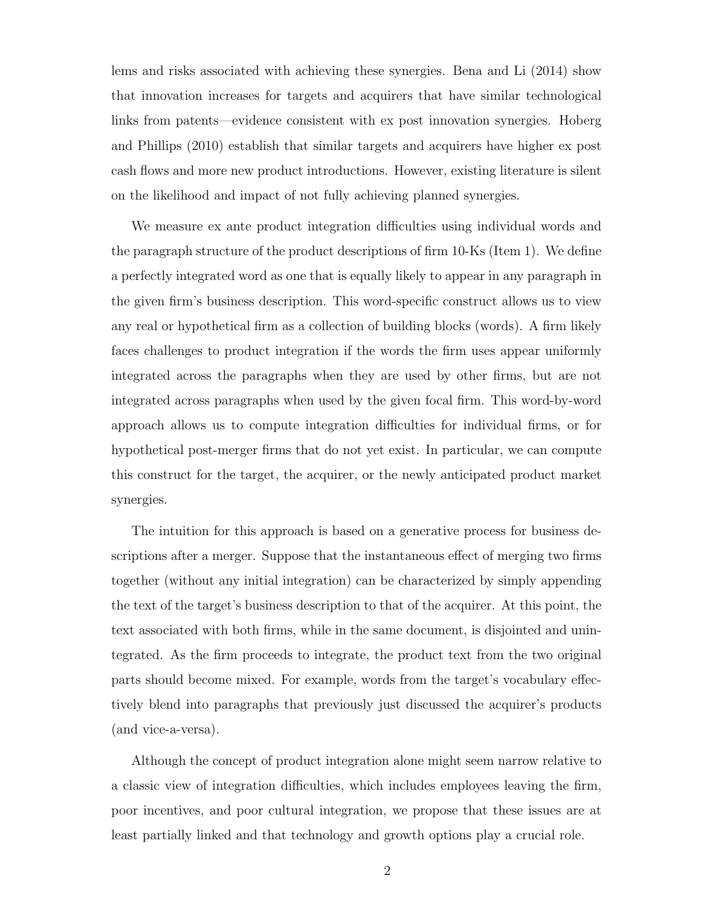lems and risks associated with achieving these synergies. Bena and Li (2014) show that innovation increases for targets and acquirers that have similar technological links from patents—evidence consistent with ex post innovation synergies. Hoberg and Phillips (2010) establish that similar targets and acquirers have higher ex post cash flows and more new product introductions. However, existing literature is silent on the likelihood and impact of not fully achieving planned synergies.

We measure ex ante product integration difficulties using individual words and the paragraph structure of the product descriptions of firm 10-Ks (Item 1). We define a perfectly integrated word as one that is equally likely to appear in any paragraph in the given firm's business description. This word-specific construct allows us to view any real or hypothetical firm as a collection of building blocks (words). A firm likely faces challenges to product integration if the words the firm uses appear uniformly integrated across the paragraphs when they are used by other firms, but are not integrated across paragraphs when used by the given focal firm. This word-by-word approach allows us to compute integration difficulties for individual firms, or for hypothetical post-merger firms that do not yet exist. In particular, we can compute this construct for the target, the acquirer, or the newly anticipated product market synergies.

The intuition for this approach is based on a generative process for business descriptions after a merger. Suppose that the instantaneous effect of merging two firms together (without any initial integration) can be characterized by simply appending the text of the target's business description to that of the acquirer. At this point, the text associated with both firms, while in the same document, is disjointed and unintegrated. As the firm proceeds to integrate, the product text from the two original parts should become mixed. For example, words from the target's vocabulary effectively blend into paragraphs that previously just discussed the acquirer's products (and vice-a-versa).

Although the concept of product integration alone might seem narrow relative to a classic view of integration difficulties, which includes employees leaving the firm, poor incentives, and poor cultural integration, we propose that these issues are at least partially linked and that technology and growth options play a crucial role.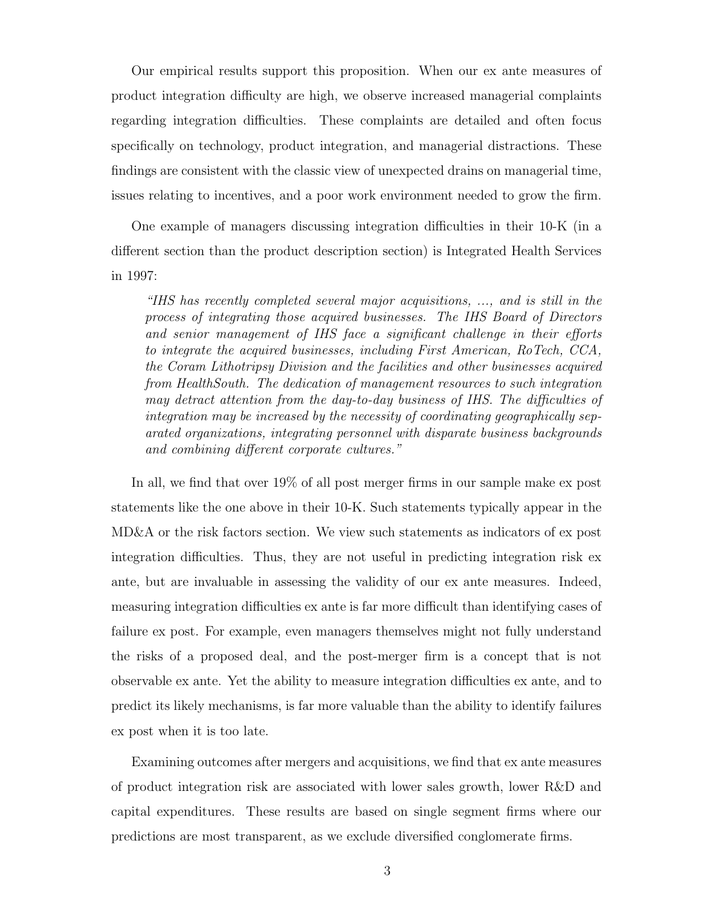Our empirical results support this proposition. When our ex ante measures of product integration difficulty are high, we observe increased managerial complaints regarding integration difficulties. These complaints are detailed and often focus specifically on technology, product integration, and managerial distractions. These findings are consistent with the classic view of unexpected drains on managerial time, issues relating to incentives, and a poor work environment needed to grow the firm.

One example of managers discussing integration difficulties in their 10-K (in a different section than the product description section) is Integrated Health Services in 1997:

"IHS has recently completed several major acquisitions, ..., and is still in the process of integrating those acquired businesses. The IHS Board of Directors and senior management of IHS face a significant challenge in their efforts to integrate the acquired businesses, including First American, RoTech, CCA, the Coram Lithotripsy Division and the facilities and other businesses acquired from HealthSouth. The dedication of management resources to such integration may detract attention from the day-to-day business of IHS. The difficulties of integration may be increased by the necessity of coordinating geographically separated organizations, integrating personnel with disparate business backgrounds and combining different corporate cultures."

In all, we find that over 19% of all post merger firms in our sample make ex post statements like the one above in their 10-K. Such statements typically appear in the MD&A or the risk factors section. We view such statements as indicators of ex post integration difficulties. Thus, they are not useful in predicting integration risk ex ante, but are invaluable in assessing the validity of our ex ante measures. Indeed, measuring integration difficulties ex ante is far more difficult than identifying cases of failure ex post. For example, even managers themselves might not fully understand the risks of a proposed deal, and the post-merger firm is a concept that is not observable ex ante. Yet the ability to measure integration difficulties ex ante, and to predict its likely mechanisms, is far more valuable than the ability to identify failures ex post when it is too late.

Examining outcomes after mergers and acquisitions, we find that ex ante measures of product integration risk are associated with lower sales growth, lower R&D and capital expenditures. These results are based on single segment firms where our predictions are most transparent, as we exclude diversified conglomerate firms.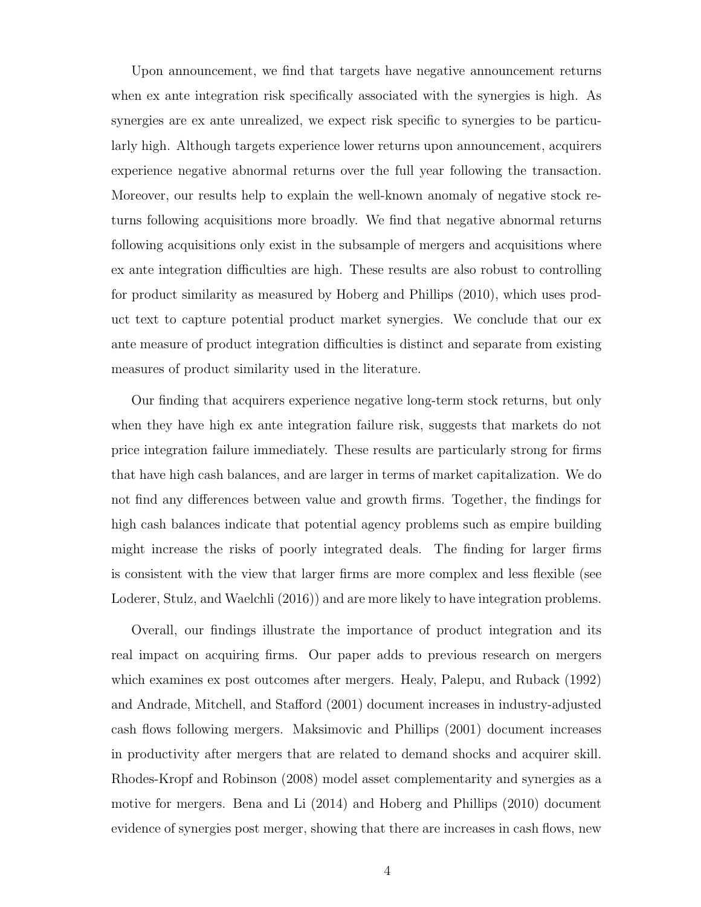Upon announcement, we find that targets have negative announcement returns when ex ante integration risk specifically associated with the synergies is high. As synergies are ex ante unrealized, we expect risk specific to synergies to be particularly high. Although targets experience lower returns upon announcement, acquirers experience negative abnormal returns over the full year following the transaction. Moreover, our results help to explain the well-known anomaly of negative stock returns following acquisitions more broadly. We find that negative abnormal returns following acquisitions only exist in the subsample of mergers and acquisitions where ex ante integration difficulties are high. These results are also robust to controlling for product similarity as measured by Hoberg and Phillips (2010), which uses product text to capture potential product market synergies. We conclude that our ex ante measure of product integration difficulties is distinct and separate from existing measures of product similarity used in the literature.

Our finding that acquirers experience negative long-term stock returns, but only when they have high ex ante integration failure risk, suggests that markets do not price integration failure immediately. These results are particularly strong for firms that have high cash balances, and are larger in terms of market capitalization. We do not find any differences between value and growth firms. Together, the findings for high cash balances indicate that potential agency problems such as empire building might increase the risks of poorly integrated deals. The finding for larger firms is consistent with the view that larger firms are more complex and less flexible (see Loderer, Stulz, and Waelchli (2016)) and are more likely to have integration problems.

Overall, our findings illustrate the importance of product integration and its real impact on acquiring firms. Our paper adds to previous research on mergers which examines ex post outcomes after mergers. Healy, Palepu, and Ruback (1992) and Andrade, Mitchell, and Stafford (2001) document increases in industry-adjusted cash flows following mergers. Maksimovic and Phillips (2001) document increases in productivity after mergers that are related to demand shocks and acquirer skill. Rhodes-Kropf and Robinson (2008) model asset complementarity and synergies as a motive for mergers. Bena and Li (2014) and Hoberg and Phillips (2010) document evidence of synergies post merger, showing that there are increases in cash flows, new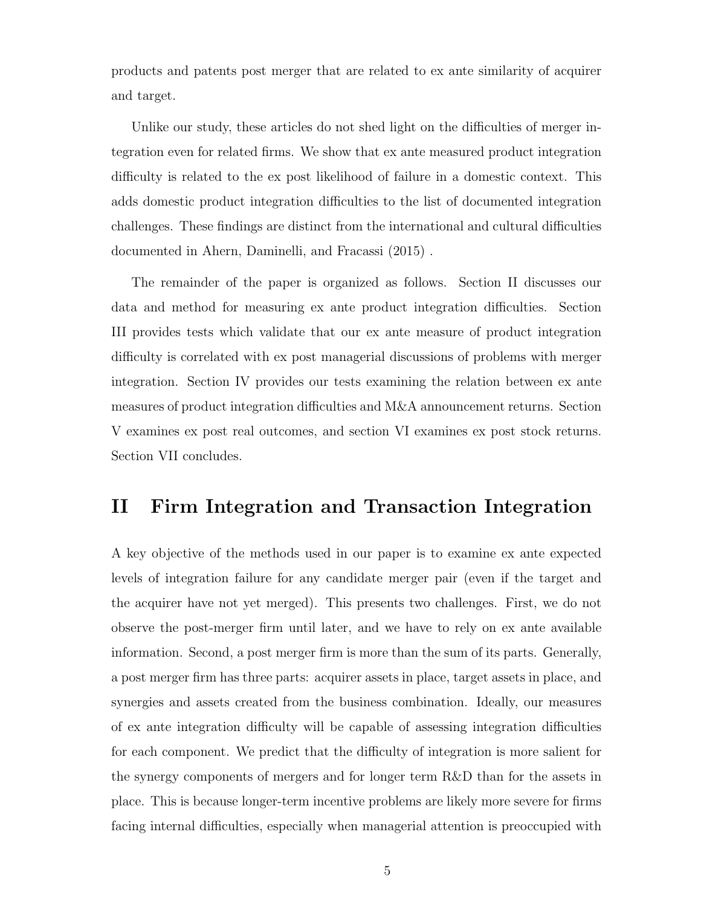products and patents post merger that are related to ex ante similarity of acquirer and target.

Unlike our study, these articles do not shed light on the difficulties of merger integration even for related firms. We show that ex ante measured product integration difficulty is related to the ex post likelihood of failure in a domestic context. This adds domestic product integration difficulties to the list of documented integration challenges. These findings are distinct from the international and cultural difficulties documented in Ahern, Daminelli, and Fracassi (2015) .

The remainder of the paper is organized as follows. Section II discusses our data and method for measuring ex ante product integration difficulties. Section III provides tests which validate that our ex ante measure of product integration difficulty is correlated with ex post managerial discussions of problems with merger integration. Section IV provides our tests examining the relation between ex ante measures of product integration difficulties and M&A announcement returns. Section V examines ex post real outcomes, and section VI examines ex post stock returns. Section VII concludes.

## II Firm Integration and Transaction Integration

A key objective of the methods used in our paper is to examine ex ante expected levels of integration failure for any candidate merger pair (even if the target and the acquirer have not yet merged). This presents two challenges. First, we do not observe the post-merger firm until later, and we have to rely on ex ante available information. Second, a post merger firm is more than the sum of its parts. Generally, a post merger firm has three parts: acquirer assets in place, target assets in place, and synergies and assets created from the business combination. Ideally, our measures of ex ante integration difficulty will be capable of assessing integration difficulties for each component. We predict that the difficulty of integration is more salient for the synergy components of mergers and for longer term R&D than for the assets in place. This is because longer-term incentive problems are likely more severe for firms facing internal difficulties, especially when managerial attention is preoccupied with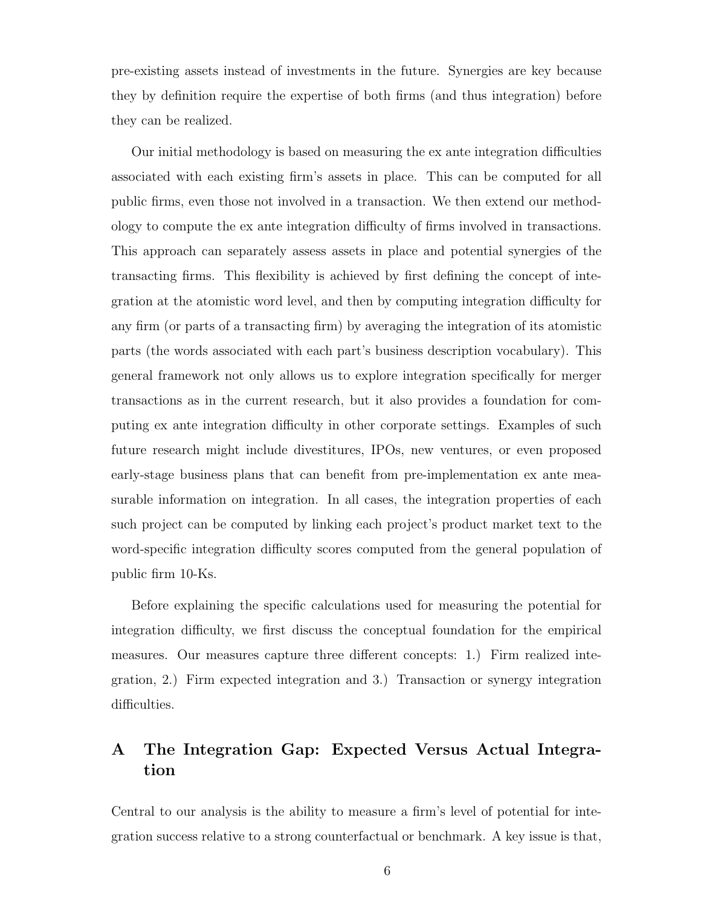pre-existing assets instead of investments in the future. Synergies are key because they by definition require the expertise of both firms (and thus integration) before they can be realized.

Our initial methodology is based on measuring the ex ante integration difficulties associated with each existing firm's assets in place. This can be computed for all public firms, even those not involved in a transaction. We then extend our methodology to compute the ex ante integration difficulty of firms involved in transactions. This approach can separately assess assets in place and potential synergies of the transacting firms. This flexibility is achieved by first defining the concept of integration at the atomistic word level, and then by computing integration difficulty for any firm (or parts of a transacting firm) by averaging the integration of its atomistic parts (the words associated with each part's business description vocabulary). This general framework not only allows us to explore integration specifically for merger transactions as in the current research, but it also provides a foundation for computing ex ante integration difficulty in other corporate settings. Examples of such future research might include divestitures, IPOs, new ventures, or even proposed early-stage business plans that can benefit from pre-implementation ex ante measurable information on integration. In all cases, the integration properties of each such project can be computed by linking each project's product market text to the word-specific integration difficulty scores computed from the general population of public firm 10-Ks.

Before explaining the specific calculations used for measuring the potential for integration difficulty, we first discuss the conceptual foundation for the empirical measures. Our measures capture three different concepts: 1.) Firm realized integration, 2.) Firm expected integration and 3.) Transaction or synergy integration difficulties.

### A The Integration Gap: Expected Versus Actual Integration

Central to our analysis is the ability to measure a firm's level of potential for integration success relative to a strong counterfactual or benchmark. A key issue is that,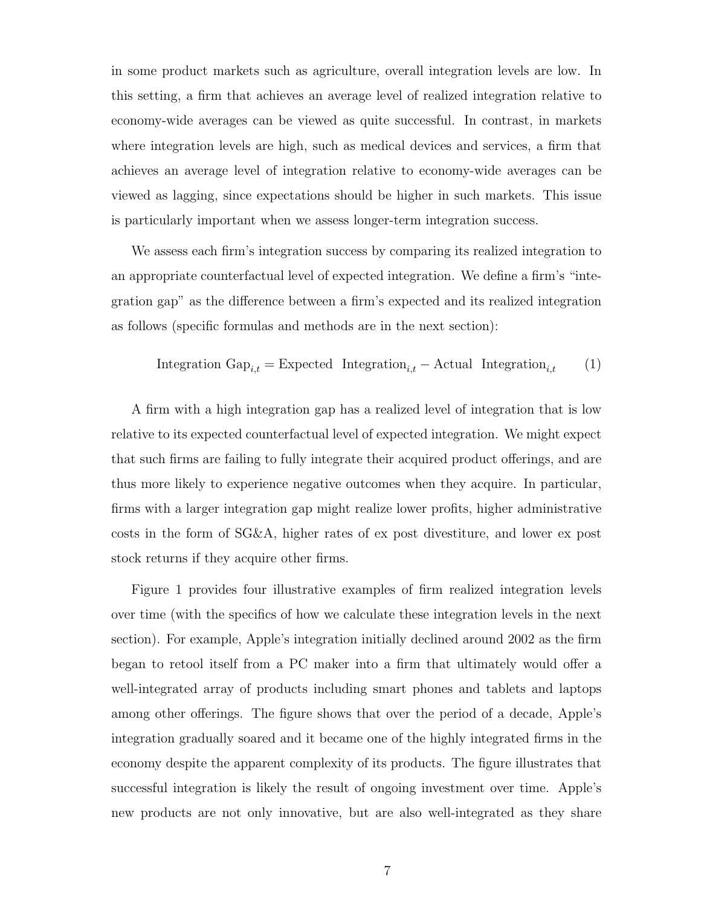in some product markets such as agriculture, overall integration levels are low. In this setting, a firm that achieves an average level of realized integration relative to economy-wide averages can be viewed as quite successful. In contrast, in markets where integration levels are high, such as medical devices and services, a firm that achieves an average level of integration relative to economy-wide averages can be viewed as lagging, since expectations should be higher in such markets. This issue is particularly important when we assess longer-term integration success.

We assess each firm's integration success by comparing its realized integration to an appropriate counterfactual level of expected integration. We define a firm's "integration gap" as the difference between a firm's expected and its realized integration as follows (specific formulas and methods are in the next section):

Integration 
$$
Gap_{i,t} = Expected Integration_{i,t} - Actual Integration_{i,t}
$$
 (1)

A firm with a high integration gap has a realized level of integration that is low relative to its expected counterfactual level of expected integration. We might expect that such firms are failing to fully integrate their acquired product offerings, and are thus more likely to experience negative outcomes when they acquire. In particular, firms with a larger integration gap might realize lower profits, higher administrative costs in the form of SG&A, higher rates of ex post divestiture, and lower ex post stock returns if they acquire other firms.

Figure 1 provides four illustrative examples of firm realized integration levels over time (with the specifics of how we calculate these integration levels in the next section). For example, Apple's integration initially declined around 2002 as the firm began to retool itself from a PC maker into a firm that ultimately would offer a well-integrated array of products including smart phones and tablets and laptops among other offerings. The figure shows that over the period of a decade, Apple's integration gradually soared and it became one of the highly integrated firms in the economy despite the apparent complexity of its products. The figure illustrates that successful integration is likely the result of ongoing investment over time. Apple's new products are not only innovative, but are also well-integrated as they share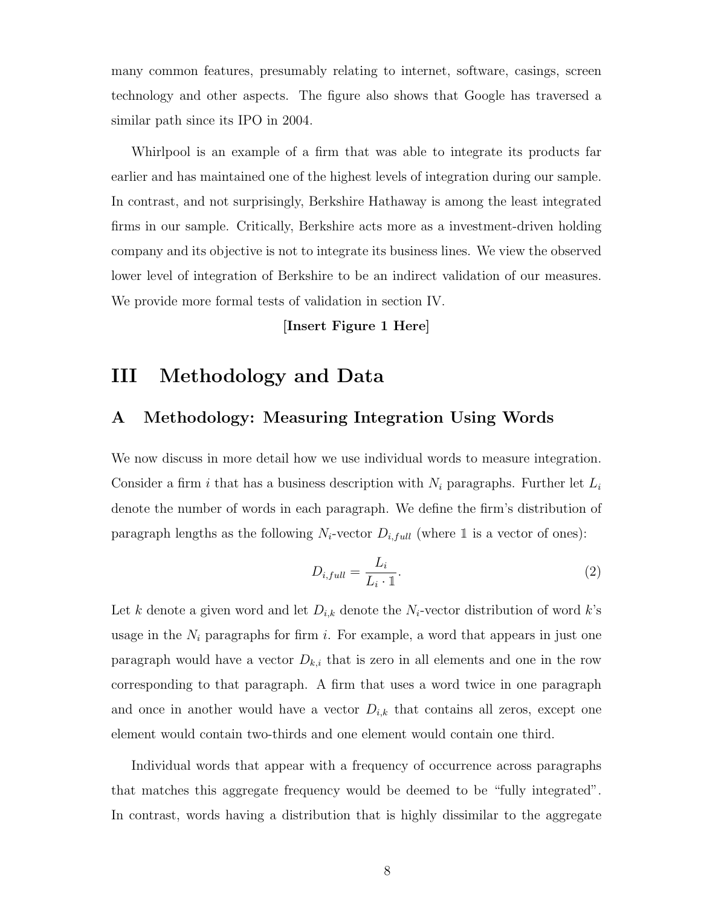many common features, presumably relating to internet, software, casings, screen technology and other aspects. The figure also shows that Google has traversed a similar path since its IPO in 2004.

Whirlpool is an example of a firm that was able to integrate its products far earlier and has maintained one of the highest levels of integration during our sample. In contrast, and not surprisingly, Berkshire Hathaway is among the least integrated firms in our sample. Critically, Berkshire acts more as a investment-driven holding company and its objective is not to integrate its business lines. We view the observed lower level of integration of Berkshire to be an indirect validation of our measures. We provide more formal tests of validation in section IV.

[Insert Figure 1 Here]

## III Methodology and Data

### A Methodology: Measuring Integration Using Words

We now discuss in more detail how we use individual words to measure integration. Consider a firm i that has a business description with  $N_i$  paragraphs. Further let  $L_i$ denote the number of words in each paragraph. We define the firm's distribution of paragraph lengths as the following  $N_i$ -vector  $D_{i,full}$  (where 1 is a vector of ones):

$$
D_{i,full} = \frac{L_i}{L_i \cdot 1}.\tag{2}
$$

Let k denote a given word and let  $D_{i,k}$  denote the  $N_i$ -vector distribution of word k's usage in the  $N_i$  paragraphs for firm i. For example, a word that appears in just one paragraph would have a vector  $D_{k,i}$  that is zero in all elements and one in the row corresponding to that paragraph. A firm that uses a word twice in one paragraph and once in another would have a vector  $D_{i,k}$  that contains all zeros, except one element would contain two-thirds and one element would contain one third.

Individual words that appear with a frequency of occurrence across paragraphs that matches this aggregate frequency would be deemed to be "fully integrated". In contrast, words having a distribution that is highly dissimilar to the aggregate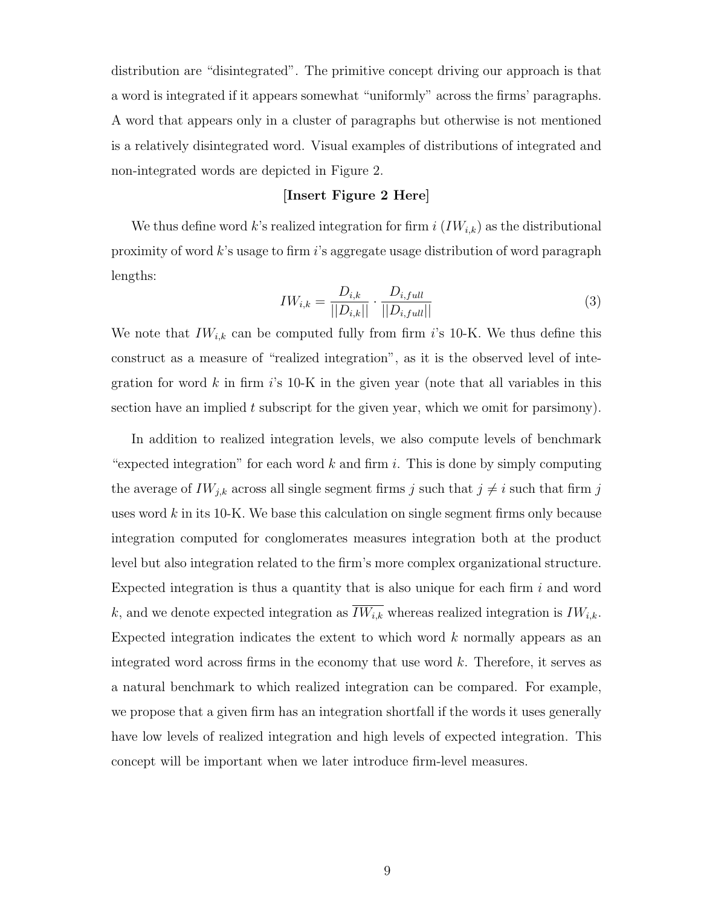distribution are "disintegrated". The primitive concept driving our approach is that a word is integrated if it appears somewhat "uniformly" across the firms' paragraphs. A word that appears only in a cluster of paragraphs but otherwise is not mentioned is a relatively disintegrated word. Visual examples of distributions of integrated and non-integrated words are depicted in Figure 2.

#### [Insert Figure 2 Here]

We thus define word k's realized integration for firm  $i$   $(IW_{i,k})$  as the distributional proximity of word k's usage to firm i's aggregate usage distribution of word paragraph lengths:

$$
IW_{i,k} = \frac{D_{i,k}}{||D_{i,k}||} \cdot \frac{D_{i,full}}{||D_{i,full}||}
$$
\n(3)

We note that  $IW_{i,k}$  can be computed fully from firm i's 10-K. We thus define this construct as a measure of "realized integration", as it is the observed level of integration for word  $k$  in firm  $i$ 's 10-K in the given year (note that all variables in this section have an implied t subscript for the given year, which we omit for parsimony).

In addition to realized integration levels, we also compute levels of benchmark "expected integration" for each word  $k$  and firm i. This is done by simply computing the average of  $IW_{j,k}$  across all single segment firms j such that  $j \neq i$  such that firm j uses word  $k$  in its 10-K. We base this calculation on single segment firms only because integration computed for conglomerates measures integration both at the product level but also integration related to the firm's more complex organizational structure. Expected integration is thus a quantity that is also unique for each firm  $i$  and word k, and we denote expected integration as  $\overline{IW_{i,k}}$  whereas realized integration is  $IW_{i,k}$ . Expected integration indicates the extent to which word  $k$  normally appears as an integrated word across firms in the economy that use word k. Therefore, it serves as a natural benchmark to which realized integration can be compared. For example, we propose that a given firm has an integration shortfall if the words it uses generally have low levels of realized integration and high levels of expected integration. This concept will be important when we later introduce firm-level measures.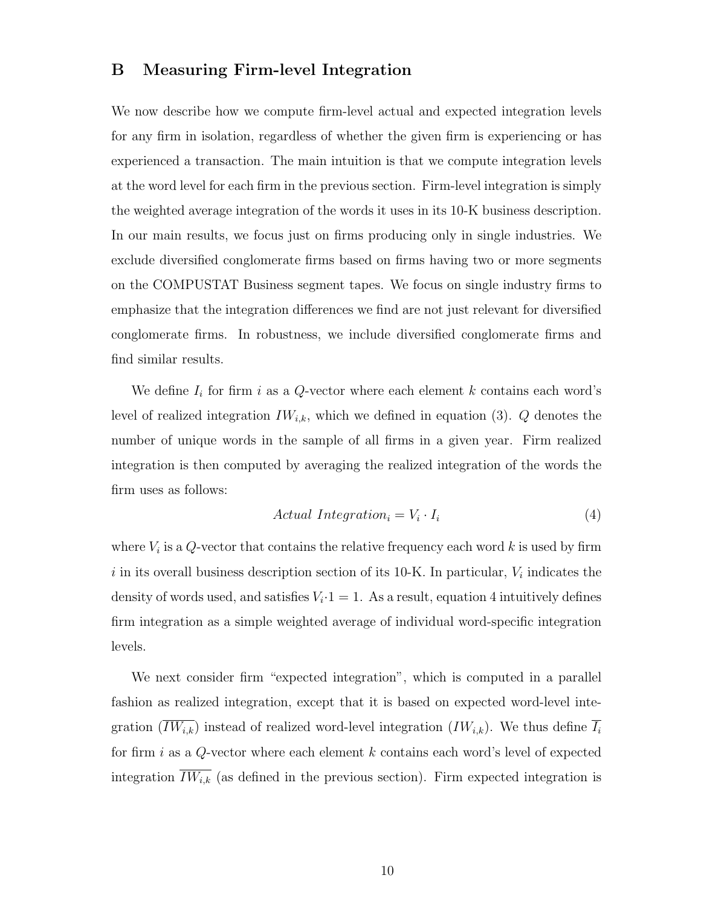#### B Measuring Firm-level Integration

We now describe how we compute firm-level actual and expected integration levels for any firm in isolation, regardless of whether the given firm is experiencing or has experienced a transaction. The main intuition is that we compute integration levels at the word level for each firm in the previous section. Firm-level integration is simply the weighted average integration of the words it uses in its 10-K business description. In our main results, we focus just on firms producing only in single industries. We exclude diversified conglomerate firms based on firms having two or more segments on the COMPUSTAT Business segment tapes. We focus on single industry firms to emphasize that the integration differences we find are not just relevant for diversified conglomerate firms. In robustness, we include diversified conglomerate firms and find similar results.

We define  $I_i$  for firm i as a Q-vector where each element k contains each word's level of realized integration  $IW_{i,k}$ , which we defined in equation (3). Q denotes the number of unique words in the sample of all firms in a given year. Firm realized integration is then computed by averaging the realized integration of the words the firm uses as follows:

$$
Actual Integration_i = V_i \cdot I_i \tag{4}
$$

where  $V_i$  is a Q-vector that contains the relative frequency each word k is used by firm i in its overall business description section of its 10-K. In particular,  $V_i$  indicates the density of words used, and satisfies  $V_i \cdot 1 = 1$ . As a result, equation 4 intuitively defines firm integration as a simple weighted average of individual word-specific integration levels.

We next consider firm "expected integration", which is computed in a parallel fashion as realized integration, except that it is based on expected word-level integration  $(\overline{IW_{i,k}})$  instead of realized word-level integration  $(IW_{i,k})$ . We thus define  $\overline{I_i}$ for firm i as a  $Q$ -vector where each element k contains each word's level of expected integration  $\overline{IW_{i,k}}$  (as defined in the previous section). Firm expected integration is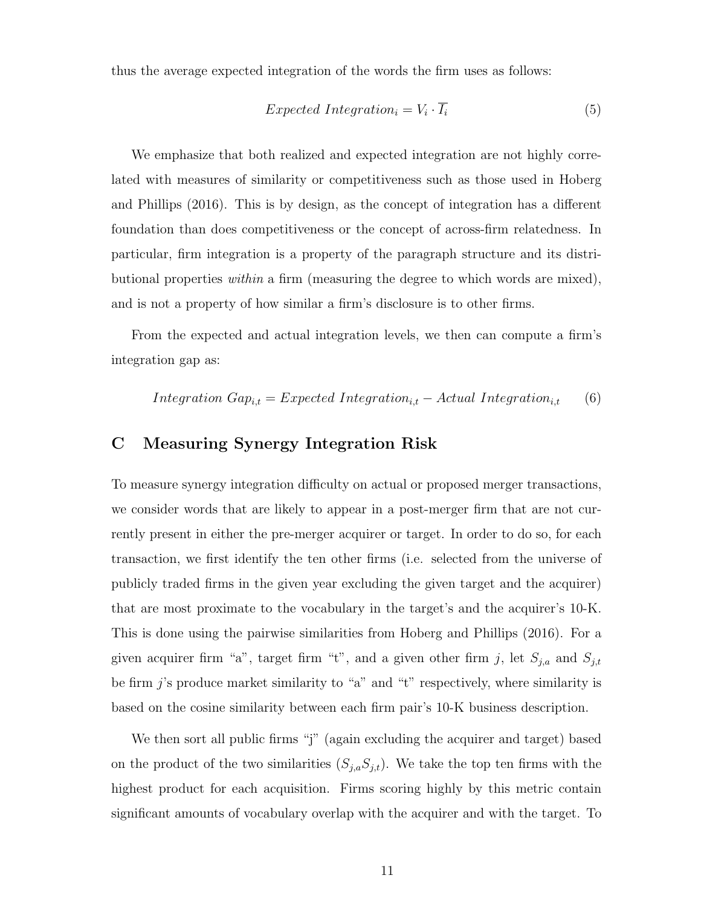thus the average expected integration of the words the firm uses as follows:

$$
Expected Integration_i = V_i \cdot \overline{I_i}
$$
\n
$$
(5)
$$

We emphasize that both realized and expected integration are not highly correlated with measures of similarity or competitiveness such as those used in Hoberg and Phillips (2016). This is by design, as the concept of integration has a different foundation than does competitiveness or the concept of across-firm relatedness. In particular, firm integration is a property of the paragraph structure and its distributional properties within a firm (measuring the degree to which words are mixed), and is not a property of how similar a firm's disclosure is to other firms.

From the expected and actual integration levels, we then can compute a firm's integration gap as:

$$
Integration\;Gap_{i,t} = Expected\;Integration_{i,t} - Actual\; Integration_{i,t} \qquad (6)
$$

### C Measuring Synergy Integration Risk

To measure synergy integration difficulty on actual or proposed merger transactions, we consider words that are likely to appear in a post-merger firm that are not currently present in either the pre-merger acquirer or target. In order to do so, for each transaction, we first identify the ten other firms (i.e. selected from the universe of publicly traded firms in the given year excluding the given target and the acquirer) that are most proximate to the vocabulary in the target's and the acquirer's 10-K. This is done using the pairwise similarities from Hoberg and Phillips (2016). For a given acquirer firm "a", target firm "t", and a given other firm j, let  $S_{j,a}$  and  $S_{j,t}$ be firm  $j$ 's produce market similarity to "a" and "t" respectively, where similarity is based on the cosine similarity between each firm pair's 10-K business description.

We then sort all public firms "j" (again excluding the acquirer and target) based on the product of the two similarities  $(S_{j,a}S_{j,t})$ . We take the top ten firms with the highest product for each acquisition. Firms scoring highly by this metric contain significant amounts of vocabulary overlap with the acquirer and with the target. To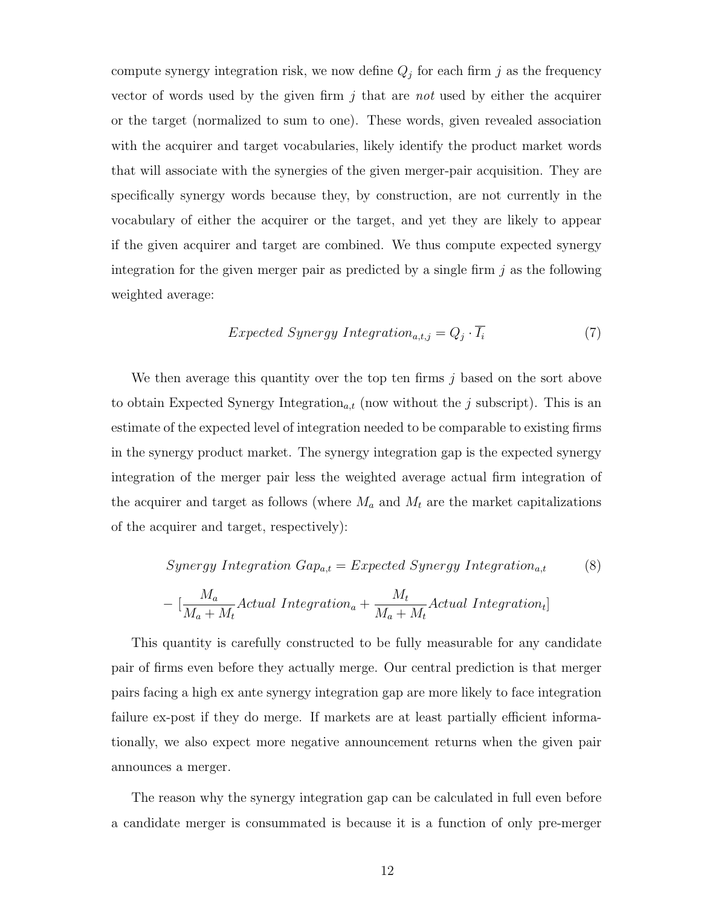compute synergy integration risk, we now define  $Q_j$  for each firm j as the frequency vector of words used by the given firm  $j$  that are not used by either the acquirer or the target (normalized to sum to one). These words, given revealed association with the acquirer and target vocabularies, likely identify the product market words that will associate with the synergies of the given merger-pair acquisition. They are specifically synergy words because they, by construction, are not currently in the vocabulary of either the acquirer or the target, and yet they are likely to appear if the given acquirer and target are combined. We thus compute expected synergy integration for the given merger pair as predicted by a single firm  $j$  as the following weighted average:

$$
Expected\;Synergy\; Integration_{a,t,j} = Q_j \cdot I_i \tag{7}
$$

We then average this quantity over the top ten firms  $j$  based on the sort above to obtain Expected Synergy Integration<sub>a,t</sub> (now without the j subscript). This is an estimate of the expected level of integration needed to be comparable to existing firms in the synergy product market. The synergy integration gap is the expected synergy integration of the merger pair less the weighted average actual firm integration of the acquirer and target as follows (where  $M_a$  and  $M_t$  are the market capitalizations of the acquirer and target, respectively):

$$
Synergy Integration Gap_{a,t}=Expected Synergy Integration_{a,t}
$$
 (8)

$$
-\; [\frac{M_a}{M_a+M_t}Actual\; Integration_a + \frac{M_t}{M_a+M_t}Actual\; Integration_t]
$$

This quantity is carefully constructed to be fully measurable for any candidate pair of firms even before they actually merge. Our central prediction is that merger pairs facing a high ex ante synergy integration gap are more likely to face integration failure ex-post if they do merge. If markets are at least partially efficient informationally, we also expect more negative announcement returns when the given pair announces a merger.

The reason why the synergy integration gap can be calculated in full even before a candidate merger is consummated is because it is a function of only pre-merger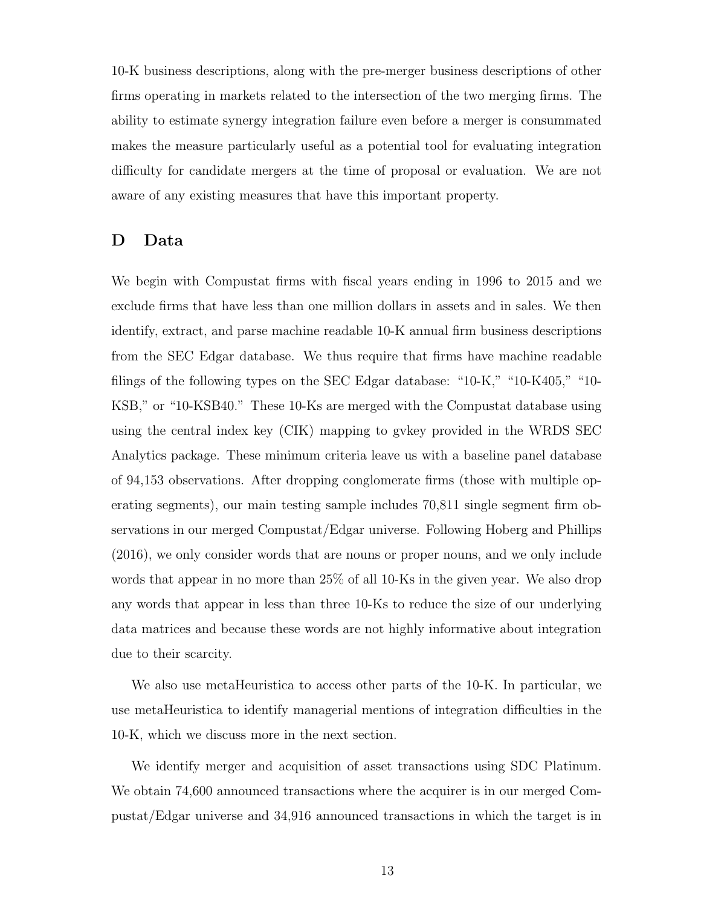10-K business descriptions, along with the pre-merger business descriptions of other firms operating in markets related to the intersection of the two merging firms. The ability to estimate synergy integration failure even before a merger is consummated makes the measure particularly useful as a potential tool for evaluating integration difficulty for candidate mergers at the time of proposal or evaluation. We are not aware of any existing measures that have this important property.

### D Data

We begin with Compustat firms with fiscal years ending in 1996 to 2015 and we exclude firms that have less than one million dollars in assets and in sales. We then identify, extract, and parse machine readable 10-K annual firm business descriptions from the SEC Edgar database. We thus require that firms have machine readable filings of the following types on the SEC Edgar database: "10-K," "10-K405," "10- KSB," or "10-KSB40." These 10-Ks are merged with the Compustat database using using the central index key (CIK) mapping to gvkey provided in the WRDS SEC Analytics package. These minimum criteria leave us with a baseline panel database of 94,153 observations. After dropping conglomerate firms (those with multiple operating segments), our main testing sample includes 70,811 single segment firm observations in our merged Compustat/Edgar universe. Following Hoberg and Phillips (2016), we only consider words that are nouns or proper nouns, and we only include words that appear in no more than 25% of all 10-Ks in the given year. We also drop any words that appear in less than three 10-Ks to reduce the size of our underlying data matrices and because these words are not highly informative about integration due to their scarcity.

We also use metaHeuristica to access other parts of the 10-K. In particular, we use metaHeuristica to identify managerial mentions of integration difficulties in the 10-K, which we discuss more in the next section.

We identify merger and acquisition of asset transactions using SDC Platinum. We obtain 74,600 announced transactions where the acquirer is in our merged Compustat/Edgar universe and 34,916 announced transactions in which the target is in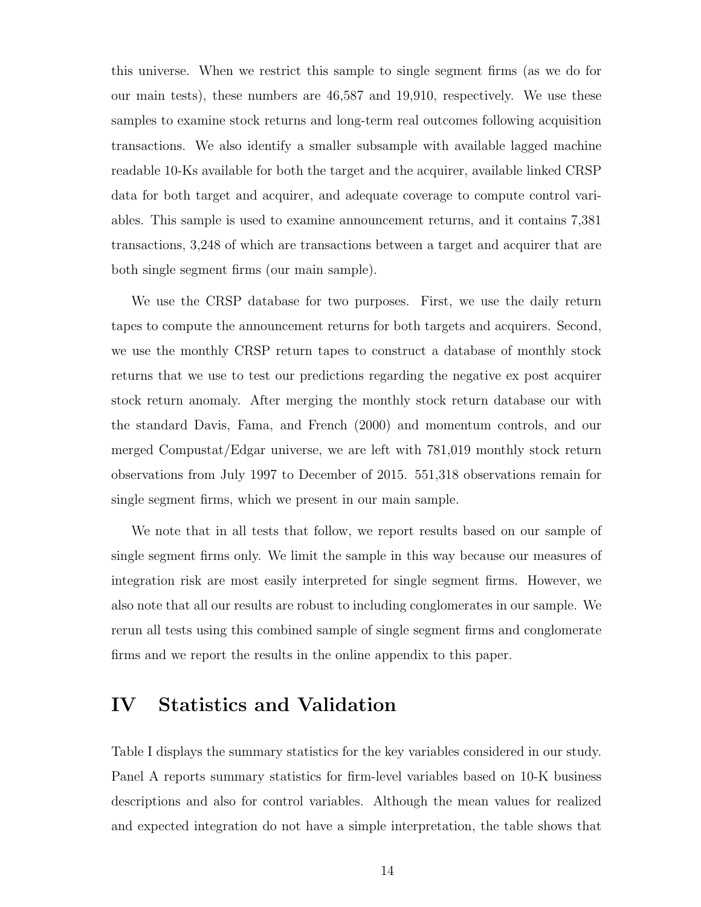this universe. When we restrict this sample to single segment firms (as we do for our main tests), these numbers are 46,587 and 19,910, respectively. We use these samples to examine stock returns and long-term real outcomes following acquisition transactions. We also identify a smaller subsample with available lagged machine readable 10-Ks available for both the target and the acquirer, available linked CRSP data for both target and acquirer, and adequate coverage to compute control variables. This sample is used to examine announcement returns, and it contains 7,381 transactions, 3,248 of which are transactions between a target and acquirer that are both single segment firms (our main sample).

We use the CRSP database for two purposes. First, we use the daily return tapes to compute the announcement returns for both targets and acquirers. Second, we use the monthly CRSP return tapes to construct a database of monthly stock returns that we use to test our predictions regarding the negative ex post acquirer stock return anomaly. After merging the monthly stock return database our with the standard Davis, Fama, and French (2000) and momentum controls, and our merged Compustat/Edgar universe, we are left with 781,019 monthly stock return observations from July 1997 to December of 2015. 551,318 observations remain for single segment firms, which we present in our main sample.

We note that in all tests that follow, we report results based on our sample of single segment firms only. We limit the sample in this way because our measures of integration risk are most easily interpreted for single segment firms. However, we also note that all our results are robust to including conglomerates in our sample. We rerun all tests using this combined sample of single segment firms and conglomerate firms and we report the results in the online appendix to this paper.

### IV Statistics and Validation

Table I displays the summary statistics for the key variables considered in our study. Panel A reports summary statistics for firm-level variables based on 10-K business descriptions and also for control variables. Although the mean values for realized and expected integration do not have a simple interpretation, the table shows that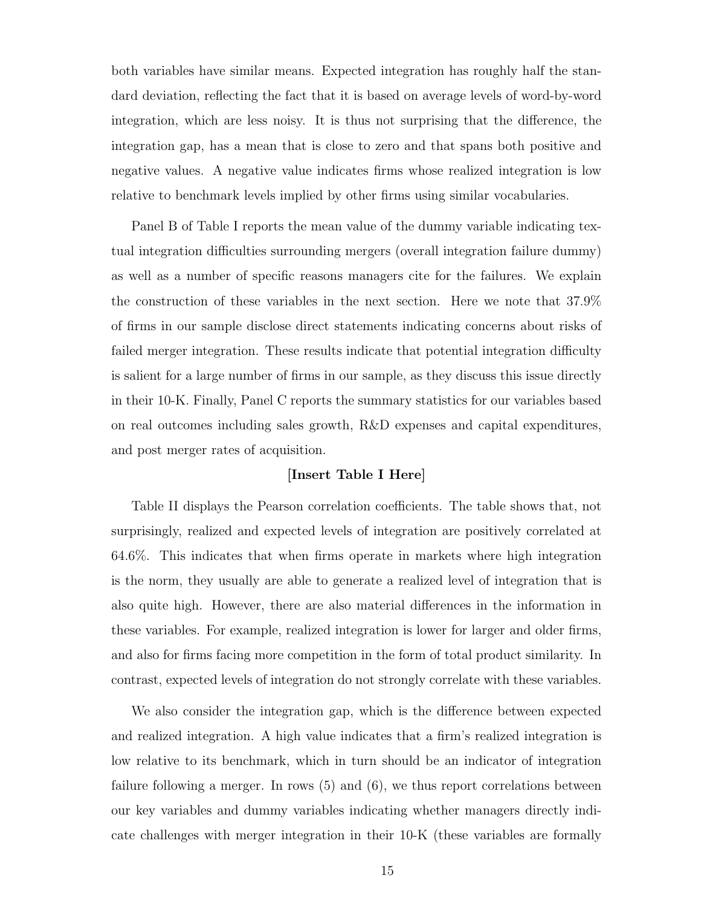both variables have similar means. Expected integration has roughly half the standard deviation, reflecting the fact that it is based on average levels of word-by-word integration, which are less noisy. It is thus not surprising that the difference, the integration gap, has a mean that is close to zero and that spans both positive and negative values. A negative value indicates firms whose realized integration is low relative to benchmark levels implied by other firms using similar vocabularies.

Panel B of Table I reports the mean value of the dummy variable indicating textual integration difficulties surrounding mergers (overall integration failure dummy) as well as a number of specific reasons managers cite for the failures. We explain the construction of these variables in the next section. Here we note that 37.9% of firms in our sample disclose direct statements indicating concerns about risks of failed merger integration. These results indicate that potential integration difficulty is salient for a large number of firms in our sample, as they discuss this issue directly in their 10-K. Finally, Panel C reports the summary statistics for our variables based on real outcomes including sales growth, R&D expenses and capital expenditures, and post merger rates of acquisition.

#### [Insert Table I Here]

Table II displays the Pearson correlation coefficients. The table shows that, not surprisingly, realized and expected levels of integration are positively correlated at 64.6%. This indicates that when firms operate in markets where high integration is the norm, they usually are able to generate a realized level of integration that is also quite high. However, there are also material differences in the information in these variables. For example, realized integration is lower for larger and older firms, and also for firms facing more competition in the form of total product similarity. In contrast, expected levels of integration do not strongly correlate with these variables.

We also consider the integration gap, which is the difference between expected and realized integration. A high value indicates that a firm's realized integration is low relative to its benchmark, which in turn should be an indicator of integration failure following a merger. In rows (5) and (6), we thus report correlations between our key variables and dummy variables indicating whether managers directly indicate challenges with merger integration in their 10-K (these variables are formally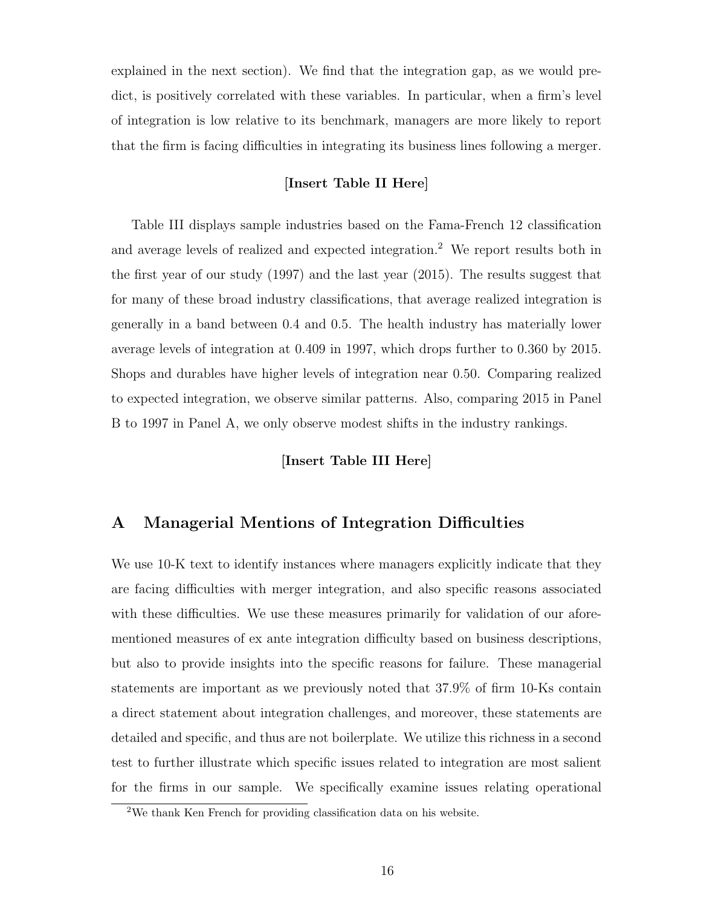explained in the next section). We find that the integration gap, as we would predict, is positively correlated with these variables. In particular, when a firm's level of integration is low relative to its benchmark, managers are more likely to report that the firm is facing difficulties in integrating its business lines following a merger.

#### [Insert Table II Here]

Table III displays sample industries based on the Fama-French 12 classification and average levels of realized and expected integration.<sup>2</sup> We report results both in the first year of our study (1997) and the last year (2015). The results suggest that for many of these broad industry classifications, that average realized integration is generally in a band between 0.4 and 0.5. The health industry has materially lower average levels of integration at 0.409 in 1997, which drops further to 0.360 by 2015. Shops and durables have higher levels of integration near 0.50. Comparing realized to expected integration, we observe similar patterns. Also, comparing 2015 in Panel B to 1997 in Panel A, we only observe modest shifts in the industry rankings.

#### [Insert Table III Here]

### A Managerial Mentions of Integration Difficulties

We use 10-K text to identify instances where managers explicitly indicate that they are facing difficulties with merger integration, and also specific reasons associated with these difficulties. We use these measures primarily for validation of our aforementioned measures of ex ante integration difficulty based on business descriptions, but also to provide insights into the specific reasons for failure. These managerial statements are important as we previously noted that 37.9% of firm 10-Ks contain a direct statement about integration challenges, and moreover, these statements are detailed and specific, and thus are not boilerplate. We utilize this richness in a second test to further illustrate which specific issues related to integration are most salient for the firms in our sample. We specifically examine issues relating operational

<sup>2</sup>We thank Ken French for providing classification data on his website.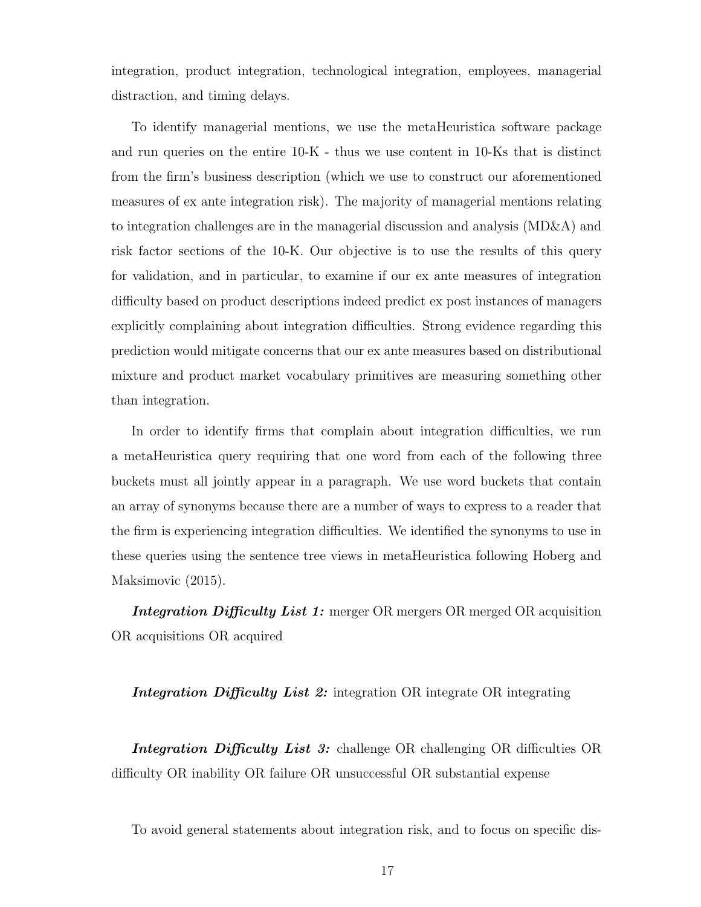integration, product integration, technological integration, employees, managerial distraction, and timing delays.

To identify managerial mentions, we use the metaHeuristica software package and run queries on the entire 10-K - thus we use content in 10-Ks that is distinct from the firm's business description (which we use to construct our aforementioned measures of ex ante integration risk). The majority of managerial mentions relating to integration challenges are in the managerial discussion and analysis (MD&A) and risk factor sections of the 10-K. Our objective is to use the results of this query for validation, and in particular, to examine if our ex ante measures of integration difficulty based on product descriptions indeed predict ex post instances of managers explicitly complaining about integration difficulties. Strong evidence regarding this prediction would mitigate concerns that our ex ante measures based on distributional mixture and product market vocabulary primitives are measuring something other than integration.

In order to identify firms that complain about integration difficulties, we run a metaHeuristica query requiring that one word from each of the following three buckets must all jointly appear in a paragraph. We use word buckets that contain an array of synonyms because there are a number of ways to express to a reader that the firm is experiencing integration difficulties. We identified the synonyms to use in these queries using the sentence tree views in metaHeuristica following Hoberg and Maksimovic (2015).

Integration Difficulty List 1: merger OR mergers OR merged OR acquisition OR acquisitions OR acquired

#### Integration Difficulty List 2: integration OR integrate OR integrating

Integration Difficulty List 3: challenge OR challenging OR difficulties OR difficulty OR inability OR failure OR unsuccessful OR substantial expense

To avoid general statements about integration risk, and to focus on specific dis-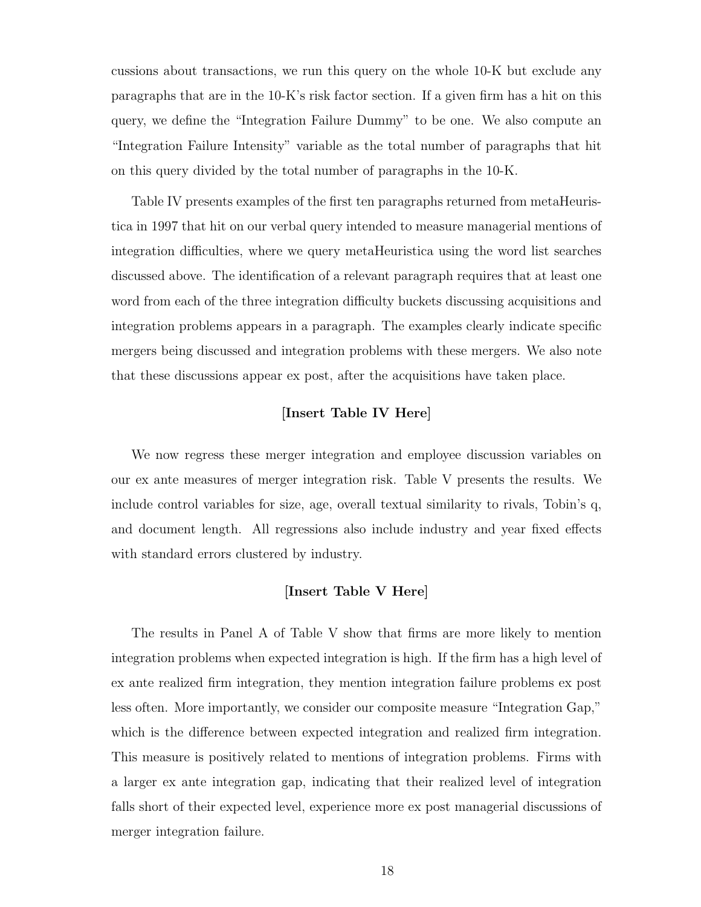cussions about transactions, we run this query on the whole 10-K but exclude any paragraphs that are in the 10-K's risk factor section. If a given firm has a hit on this query, we define the "Integration Failure Dummy" to be one. We also compute an "Integration Failure Intensity" variable as the total number of paragraphs that hit on this query divided by the total number of paragraphs in the 10-K.

Table IV presents examples of the first ten paragraphs returned from metaHeuristica in 1997 that hit on our verbal query intended to measure managerial mentions of integration difficulties, where we query metaHeuristica using the word list searches discussed above. The identification of a relevant paragraph requires that at least one word from each of the three integration difficulty buckets discussing acquisitions and integration problems appears in a paragraph. The examples clearly indicate specific mergers being discussed and integration problems with these mergers. We also note that these discussions appear ex post, after the acquisitions have taken place.

#### [Insert Table IV Here]

We now regress these merger integration and employee discussion variables on our ex ante measures of merger integration risk. Table V presents the results. We include control variables for size, age, overall textual similarity to rivals, Tobin's q, and document length. All regressions also include industry and year fixed effects with standard errors clustered by industry.

#### [Insert Table V Here]

The results in Panel A of Table V show that firms are more likely to mention integration problems when expected integration is high. If the firm has a high level of ex ante realized firm integration, they mention integration failure problems ex post less often. More importantly, we consider our composite measure "Integration Gap," which is the difference between expected integration and realized firm integration. This measure is positively related to mentions of integration problems. Firms with a larger ex ante integration gap, indicating that their realized level of integration falls short of their expected level, experience more ex post managerial discussions of merger integration failure.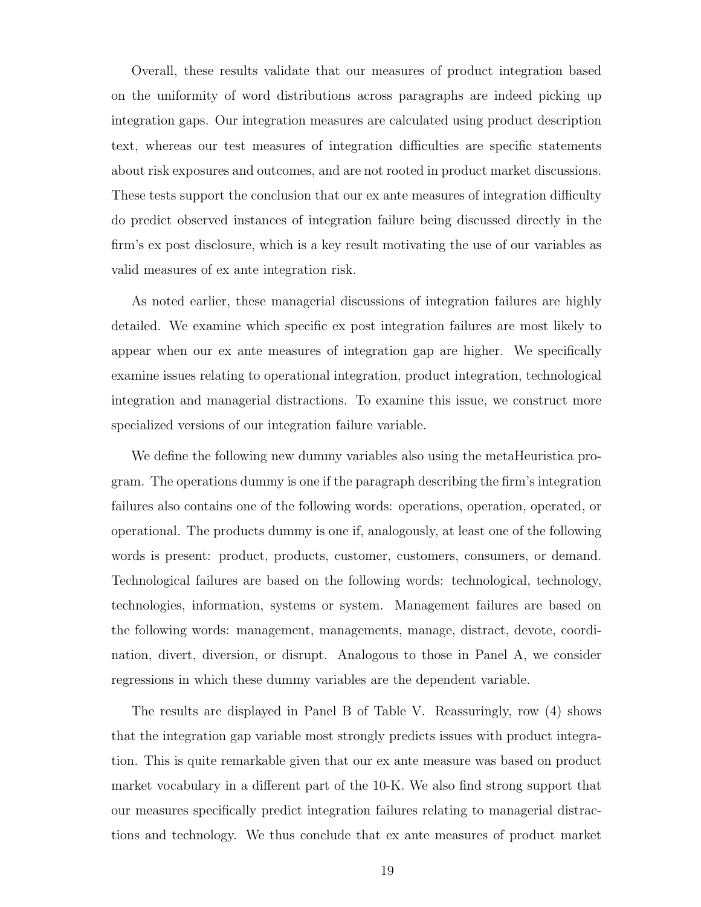Overall, these results validate that our measures of product integration based on the uniformity of word distributions across paragraphs are indeed picking up integration gaps. Our integration measures are calculated using product description text, whereas our test measures of integration difficulties are specific statements about risk exposures and outcomes, and are not rooted in product market discussions. These tests support the conclusion that our ex ante measures of integration difficulty do predict observed instances of integration failure being discussed directly in the firm's ex post disclosure, which is a key result motivating the use of our variables as valid measures of ex ante integration risk.

As noted earlier, these managerial discussions of integration failures are highly detailed. We examine which specific ex post integration failures are most likely to appear when our ex ante measures of integration gap are higher. We specifically examine issues relating to operational integration, product integration, technological integration and managerial distractions. To examine this issue, we construct more specialized versions of our integration failure variable.

We define the following new dummy variables also using the metaHeuristica program. The operations dummy is one if the paragraph describing the firm's integration failures also contains one of the following words: operations, operation, operated, or operational. The products dummy is one if, analogously, at least one of the following words is present: product, products, customer, customers, consumers, or demand. Technological failures are based on the following words: technological, technology, technologies, information, systems or system. Management failures are based on the following words: management, managements, manage, distract, devote, coordination, divert, diversion, or disrupt. Analogous to those in Panel A, we consider regressions in which these dummy variables are the dependent variable.

The results are displayed in Panel B of Table V. Reassuringly, row (4) shows that the integration gap variable most strongly predicts issues with product integration. This is quite remarkable given that our ex ante measure was based on product market vocabulary in a different part of the 10-K. We also find strong support that our measures specifically predict integration failures relating to managerial distractions and technology. We thus conclude that ex ante measures of product market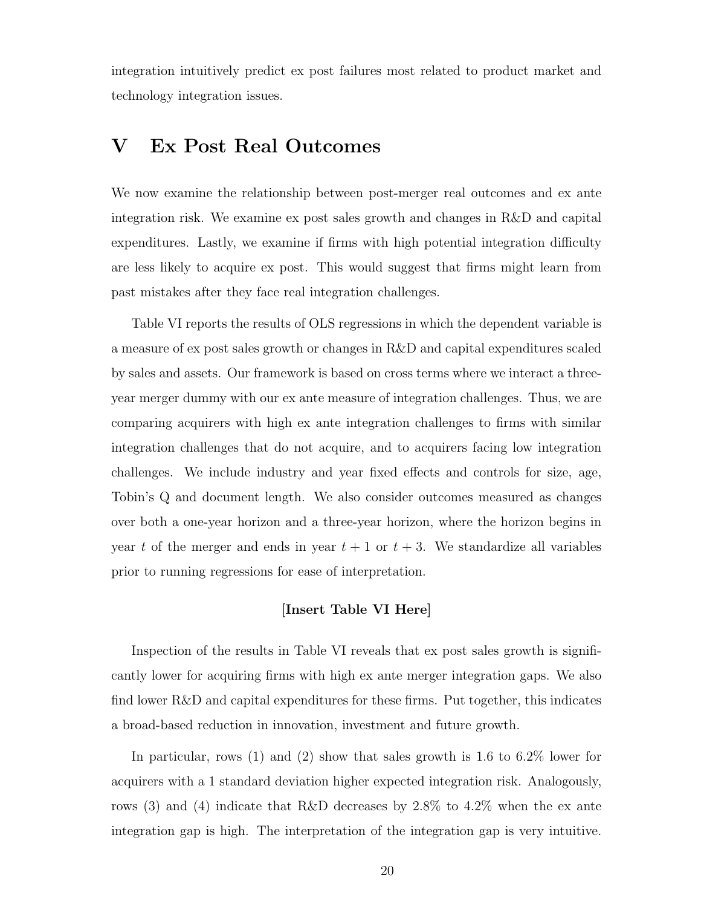integration intuitively predict ex post failures most related to product market and technology integration issues.

## V Ex Post Real Outcomes

We now examine the relationship between post-merger real outcomes and ex ante integration risk. We examine ex post sales growth and changes in R&D and capital expenditures. Lastly, we examine if firms with high potential integration difficulty are less likely to acquire ex post. This would suggest that firms might learn from past mistakes after they face real integration challenges.

Table VI reports the results of OLS regressions in which the dependent variable is a measure of ex post sales growth or changes in R&D and capital expenditures scaled by sales and assets. Our framework is based on cross terms where we interact a threeyear merger dummy with our ex ante measure of integration challenges. Thus, we are comparing acquirers with high ex ante integration challenges to firms with similar integration challenges that do not acquire, and to acquirers facing low integration challenges. We include industry and year fixed effects and controls for size, age, Tobin's Q and document length. We also consider outcomes measured as changes over both a one-year horizon and a three-year horizon, where the horizon begins in year t of the merger and ends in year  $t + 1$  or  $t + 3$ . We standardize all variables prior to running regressions for ease of interpretation.

#### [Insert Table VI Here]

Inspection of the results in Table VI reveals that ex post sales growth is significantly lower for acquiring firms with high ex ante merger integration gaps. We also find lower R&D and capital expenditures for these firms. Put together, this indicates a broad-based reduction in innovation, investment and future growth.

In particular, rows (1) and (2) show that sales growth is 1.6 to 6.2% lower for acquirers with a 1 standard deviation higher expected integration risk. Analogously, rows (3) and (4) indicate that R&D decreases by 2.8% to 4.2% when the ex ante integration gap is high. The interpretation of the integration gap is very intuitive.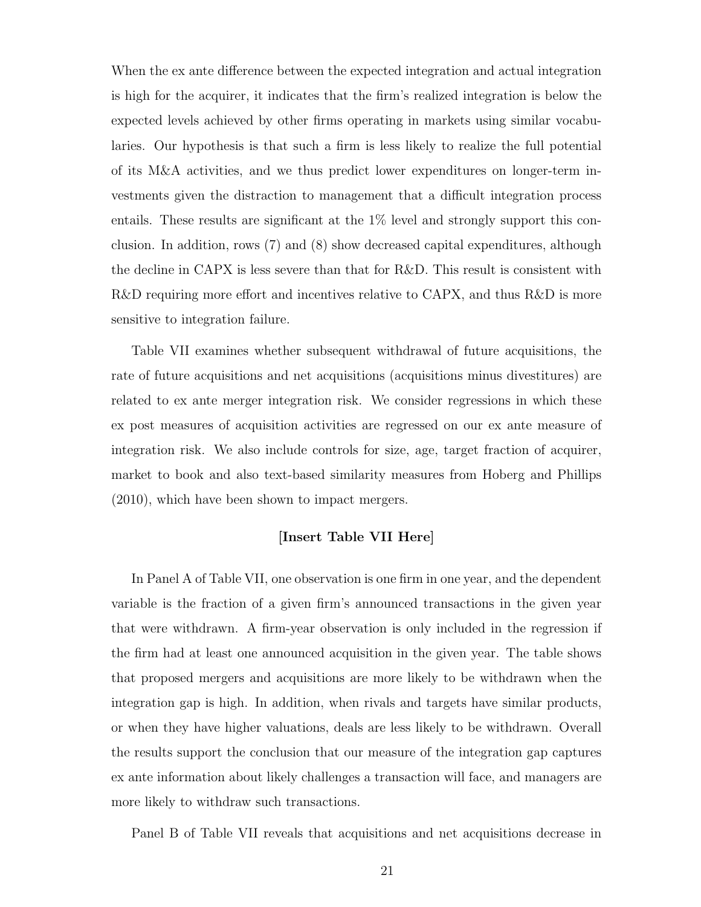When the ex ante difference between the expected integration and actual integration is high for the acquirer, it indicates that the firm's realized integration is below the expected levels achieved by other firms operating in markets using similar vocabularies. Our hypothesis is that such a firm is less likely to realize the full potential of its M&A activities, and we thus predict lower expenditures on longer-term investments given the distraction to management that a difficult integration process entails. These results are significant at the 1% level and strongly support this conclusion. In addition, rows (7) and (8) show decreased capital expenditures, although the decline in CAPX is less severe than that for R&D. This result is consistent with R&D requiring more effort and incentives relative to CAPX, and thus R&D is more sensitive to integration failure.

Table VII examines whether subsequent withdrawal of future acquisitions, the rate of future acquisitions and net acquisitions (acquisitions minus divestitures) are related to ex ante merger integration risk. We consider regressions in which these ex post measures of acquisition activities are regressed on our ex ante measure of integration risk. We also include controls for size, age, target fraction of acquirer, market to book and also text-based similarity measures from Hoberg and Phillips (2010), which have been shown to impact mergers.

#### [Insert Table VII Here]

In Panel A of Table VII, one observation is one firm in one year, and the dependent variable is the fraction of a given firm's announced transactions in the given year that were withdrawn. A firm-year observation is only included in the regression if the firm had at least one announced acquisition in the given year. The table shows that proposed mergers and acquisitions are more likely to be withdrawn when the integration gap is high. In addition, when rivals and targets have similar products, or when they have higher valuations, deals are less likely to be withdrawn. Overall the results support the conclusion that our measure of the integration gap captures ex ante information about likely challenges a transaction will face, and managers are more likely to withdraw such transactions.

Panel B of Table VII reveals that acquisitions and net acquisitions decrease in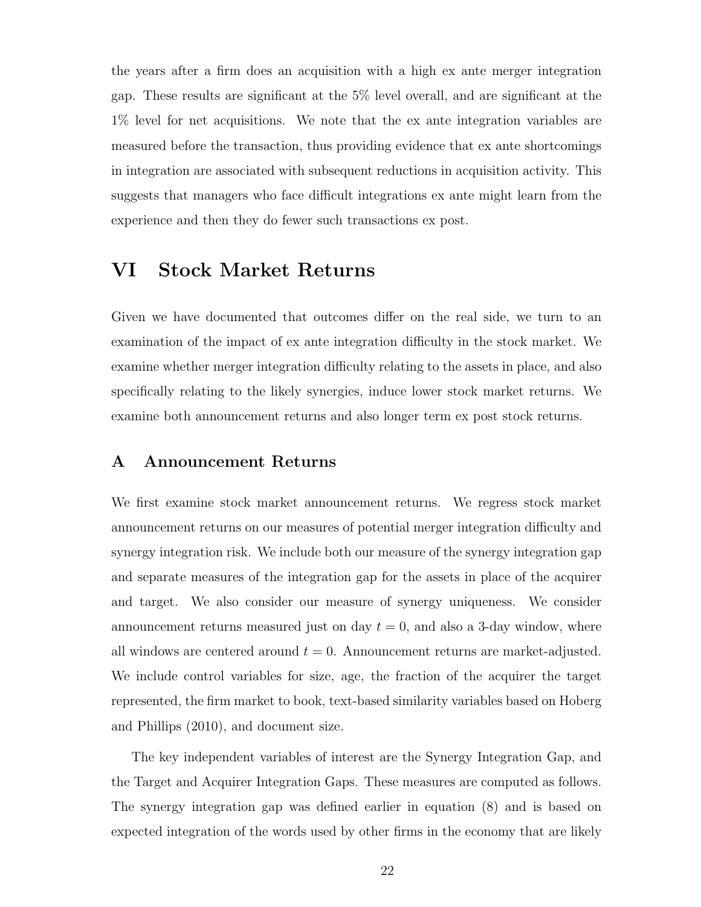the years after a firm does an acquisition with a high ex ante merger integration gap. These results are significant at the 5% level overall, and are significant at the 1% level for net acquisitions. We note that the ex ante integration variables are measured before the transaction, thus providing evidence that ex ante shortcomings in integration are associated with subsequent reductions in acquisition activity. This suggests that managers who face difficult integrations ex ante might learn from the experience and then they do fewer such transactions ex post.

## VI Stock Market Returns

Given we have documented that outcomes differ on the real side, we turn to an examination of the impact of ex ante integration difficulty in the stock market. We examine whether merger integration difficulty relating to the assets in place, and also specifically relating to the likely synergies, induce lower stock market returns. We examine both announcement returns and also longer term ex post stock returns.

#### A Announcement Returns

We first examine stock market announcement returns. We regress stock market announcement returns on our measures of potential merger integration difficulty and synergy integration risk. We include both our measure of the synergy integration gap and separate measures of the integration gap for the assets in place of the acquirer and target. We also consider our measure of synergy uniqueness. We consider announcement returns measured just on day  $t = 0$ , and also a 3-day window, where all windows are centered around  $t = 0$ . Announcement returns are market-adjusted. We include control variables for size, age, the fraction of the acquirer the target represented, the firm market to book, text-based similarity variables based on Hoberg and Phillips (2010), and document size.

The key independent variables of interest are the Synergy Integration Gap, and the Target and Acquirer Integration Gaps. These measures are computed as follows. The synergy integration gap was defined earlier in equation (8) and is based on expected integration of the words used by other firms in the economy that are likely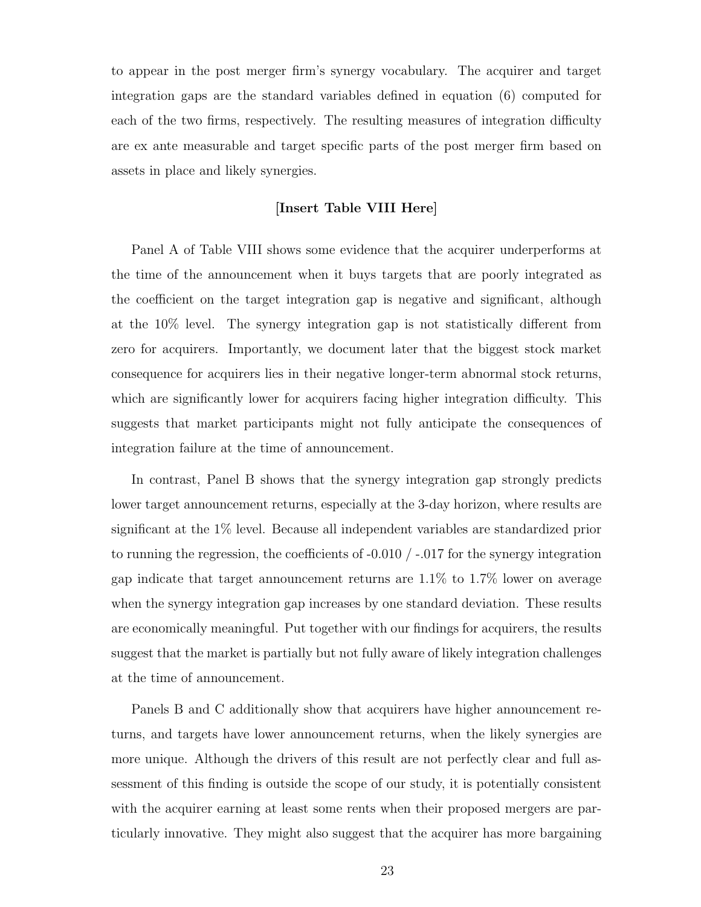to appear in the post merger firm's synergy vocabulary. The acquirer and target integration gaps are the standard variables defined in equation (6) computed for each of the two firms, respectively. The resulting measures of integration difficulty are ex ante measurable and target specific parts of the post merger firm based on assets in place and likely synergies.

#### [Insert Table VIII Here]

Panel A of Table VIII shows some evidence that the acquirer underperforms at the time of the announcement when it buys targets that are poorly integrated as the coefficient on the target integration gap is negative and significant, although at the 10% level. The synergy integration gap is not statistically different from zero for acquirers. Importantly, we document later that the biggest stock market consequence for acquirers lies in their negative longer-term abnormal stock returns, which are significantly lower for acquirers facing higher integration difficulty. This suggests that market participants might not fully anticipate the consequences of integration failure at the time of announcement.

In contrast, Panel B shows that the synergy integration gap strongly predicts lower target announcement returns, especially at the 3-day horizon, where results are significant at the 1% level. Because all independent variables are standardized prior to running the regression, the coefficients of  $-0.010 / -0.017$  for the synergy integration gap indicate that target announcement returns are 1.1% to 1.7% lower on average when the synergy integration gap increases by one standard deviation. These results are economically meaningful. Put together with our findings for acquirers, the results suggest that the market is partially but not fully aware of likely integration challenges at the time of announcement.

Panels B and C additionally show that acquirers have higher announcement returns, and targets have lower announcement returns, when the likely synergies are more unique. Although the drivers of this result are not perfectly clear and full assessment of this finding is outside the scope of our study, it is potentially consistent with the acquirer earning at least some rents when their proposed mergers are particularly innovative. They might also suggest that the acquirer has more bargaining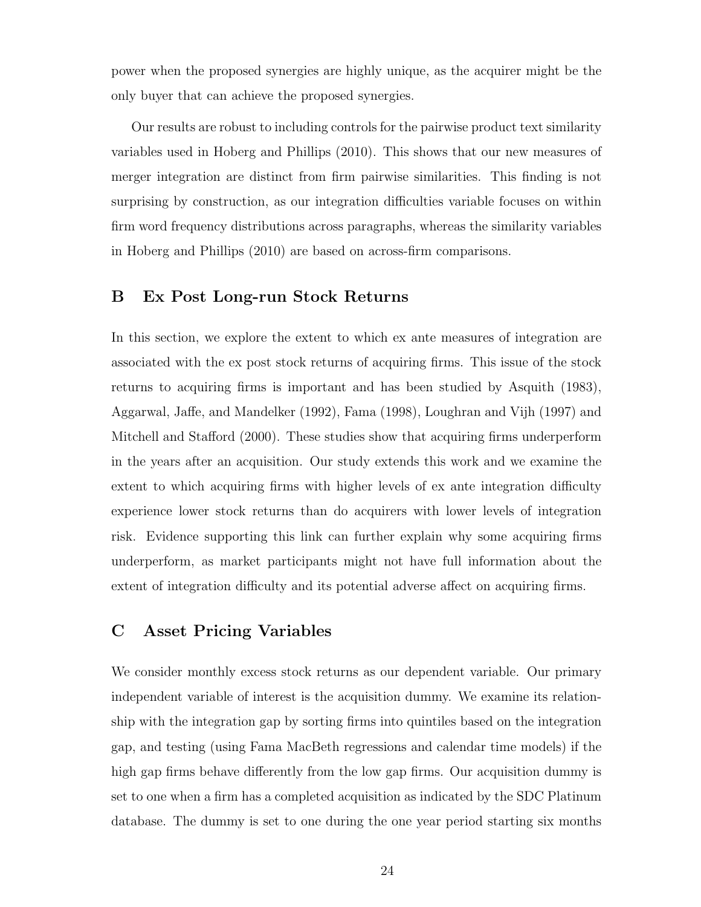power when the proposed synergies are highly unique, as the acquirer might be the only buyer that can achieve the proposed synergies.

Our results are robust to including controls for the pairwise product text similarity variables used in Hoberg and Phillips (2010). This shows that our new measures of merger integration are distinct from firm pairwise similarities. This finding is not surprising by construction, as our integration difficulties variable focuses on within firm word frequency distributions across paragraphs, whereas the similarity variables in Hoberg and Phillips (2010) are based on across-firm comparisons.

### B Ex Post Long-run Stock Returns

In this section, we explore the extent to which ex ante measures of integration are associated with the ex post stock returns of acquiring firms. This issue of the stock returns to acquiring firms is important and has been studied by Asquith (1983), Aggarwal, Jaffe, and Mandelker (1992), Fama (1998), Loughran and Vijh (1997) and Mitchell and Stafford (2000). These studies show that acquiring firms underperform in the years after an acquisition. Our study extends this work and we examine the extent to which acquiring firms with higher levels of ex ante integration difficulty experience lower stock returns than do acquirers with lower levels of integration risk. Evidence supporting this link can further explain why some acquiring firms underperform, as market participants might not have full information about the extent of integration difficulty and its potential adverse affect on acquiring firms.

### C Asset Pricing Variables

We consider monthly excess stock returns as our dependent variable. Our primary independent variable of interest is the acquisition dummy. We examine its relationship with the integration gap by sorting firms into quintiles based on the integration gap, and testing (using Fama MacBeth regressions and calendar time models) if the high gap firms behave differently from the low gap firms. Our acquisition dummy is set to one when a firm has a completed acquisition as indicated by the SDC Platinum database. The dummy is set to one during the one year period starting six months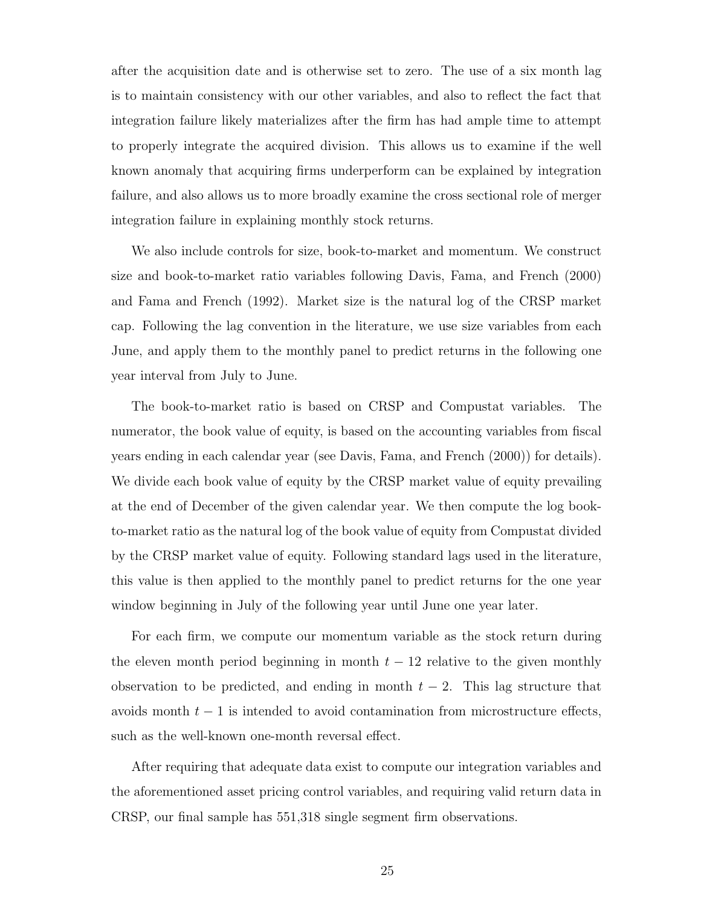after the acquisition date and is otherwise set to zero. The use of a six month lag is to maintain consistency with our other variables, and also to reflect the fact that integration failure likely materializes after the firm has had ample time to attempt to properly integrate the acquired division. This allows us to examine if the well known anomaly that acquiring firms underperform can be explained by integration failure, and also allows us to more broadly examine the cross sectional role of merger integration failure in explaining monthly stock returns.

We also include controls for size, book-to-market and momentum. We construct size and book-to-market ratio variables following Davis, Fama, and French (2000) and Fama and French (1992). Market size is the natural log of the CRSP market cap. Following the lag convention in the literature, we use size variables from each June, and apply them to the monthly panel to predict returns in the following one year interval from July to June.

The book-to-market ratio is based on CRSP and Compustat variables. The numerator, the book value of equity, is based on the accounting variables from fiscal years ending in each calendar year (see Davis, Fama, and French (2000)) for details). We divide each book value of equity by the CRSP market value of equity prevailing at the end of December of the given calendar year. We then compute the log bookto-market ratio as the natural log of the book value of equity from Compustat divided by the CRSP market value of equity. Following standard lags used in the literature, this value is then applied to the monthly panel to predict returns for the one year window beginning in July of the following year until June one year later.

For each firm, we compute our momentum variable as the stock return during the eleven month period beginning in month  $t - 12$  relative to the given monthly observation to be predicted, and ending in month  $t - 2$ . This lag structure that avoids month  $t - 1$  is intended to avoid contamination from microstructure effects, such as the well-known one-month reversal effect.

After requiring that adequate data exist to compute our integration variables and the aforementioned asset pricing control variables, and requiring valid return data in CRSP, our final sample has 551,318 single segment firm observations.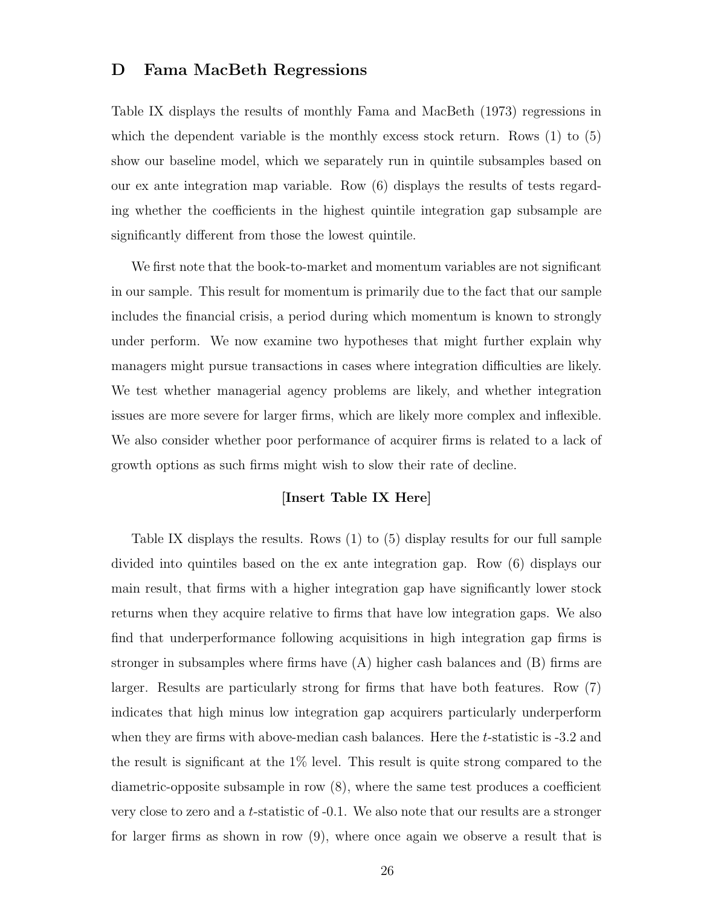#### D Fama MacBeth Regressions

Table IX displays the results of monthly Fama and MacBeth (1973) regressions in which the dependent variable is the monthly excess stock return. Rows (1) to (5) show our baseline model, which we separately run in quintile subsamples based on our ex ante integration map variable. Row (6) displays the results of tests regarding whether the coefficients in the highest quintile integration gap subsample are significantly different from those the lowest quintile.

We first note that the book-to-market and momentum variables are not significant in our sample. This result for momentum is primarily due to the fact that our sample includes the financial crisis, a period during which momentum is known to strongly under perform. We now examine two hypotheses that might further explain why managers might pursue transactions in cases where integration difficulties are likely. We test whether managerial agency problems are likely, and whether integration issues are more severe for larger firms, which are likely more complex and inflexible. We also consider whether poor performance of acquirer firms is related to a lack of growth options as such firms might wish to slow their rate of decline.

#### [Insert Table IX Here]

Table IX displays the results. Rows (1) to (5) display results for our full sample divided into quintiles based on the ex ante integration gap. Row (6) displays our main result, that firms with a higher integration gap have significantly lower stock returns when they acquire relative to firms that have low integration gaps. We also find that underperformance following acquisitions in high integration gap firms is stronger in subsamples where firms have (A) higher cash balances and (B) firms are larger. Results are particularly strong for firms that have both features. Row (7) indicates that high minus low integration gap acquirers particularly underperform when they are firms with above-median cash balances. Here the t-statistic is  $-3.2$  and the result is significant at the 1% level. This result is quite strong compared to the diametric-opposite subsample in row (8), where the same test produces a coefficient very close to zero and a t-statistic of -0.1. We also note that our results are a stronger for larger firms as shown in row (9), where once again we observe a result that is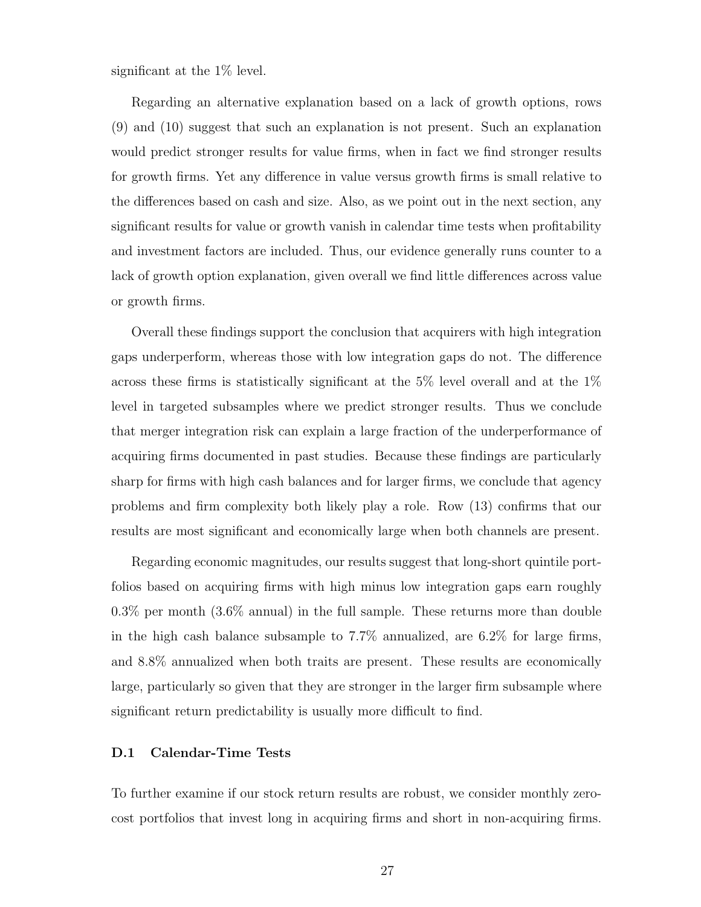significant at the  $1\%$  level.

Regarding an alternative explanation based on a lack of growth options, rows (9) and (10) suggest that such an explanation is not present. Such an explanation would predict stronger results for value firms, when in fact we find stronger results for growth firms. Yet any difference in value versus growth firms is small relative to the differences based on cash and size. Also, as we point out in the next section, any significant results for value or growth vanish in calendar time tests when profitability and investment factors are included. Thus, our evidence generally runs counter to a lack of growth option explanation, given overall we find little differences across value or growth firms.

Overall these findings support the conclusion that acquirers with high integration gaps underperform, whereas those with low integration gaps do not. The difference across these firms is statistically significant at the 5% level overall and at the 1% level in targeted subsamples where we predict stronger results. Thus we conclude that merger integration risk can explain a large fraction of the underperformance of acquiring firms documented in past studies. Because these findings are particularly sharp for firms with high cash balances and for larger firms, we conclude that agency problems and firm complexity both likely play a role. Row (13) confirms that our results are most significant and economically large when both channels are present.

Regarding economic magnitudes, our results suggest that long-short quintile portfolios based on acquiring firms with high minus low integration gaps earn roughly 0.3% per month (3.6% annual) in the full sample. These returns more than double in the high cash balance subsample to 7.7% annualized, are 6.2% for large firms, and 8.8% annualized when both traits are present. These results are economically large, particularly so given that they are stronger in the larger firm subsample where significant return predictability is usually more difficult to find.

#### D.1 Calendar-Time Tests

To further examine if our stock return results are robust, we consider monthly zerocost portfolios that invest long in acquiring firms and short in non-acquiring firms.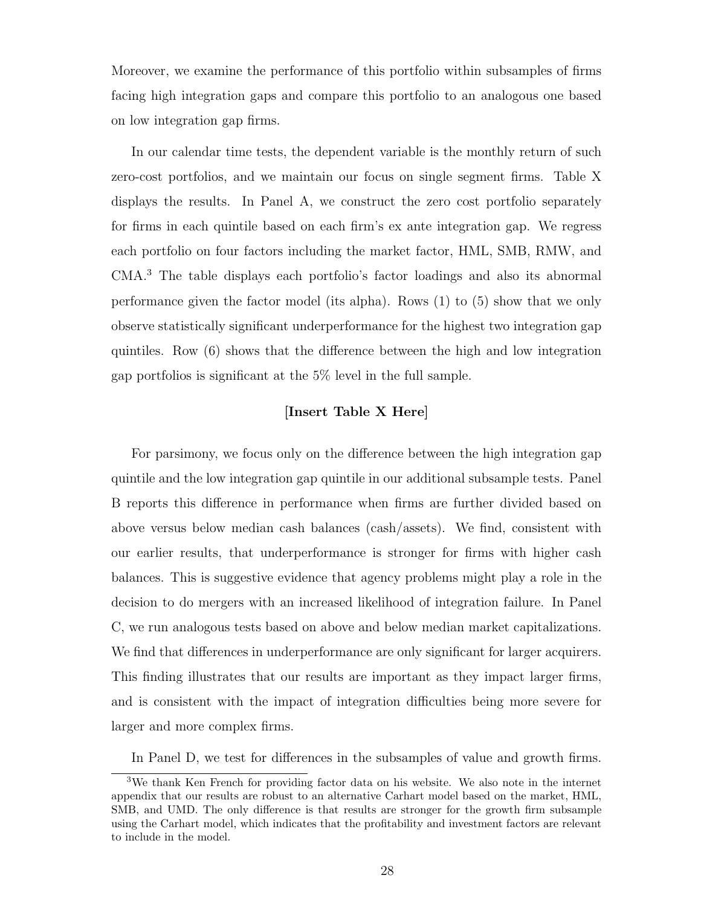Moreover, we examine the performance of this portfolio within subsamples of firms facing high integration gaps and compare this portfolio to an analogous one based on low integration gap firms.

In our calendar time tests, the dependent variable is the monthly return of such zero-cost portfolios, and we maintain our focus on single segment firms. Table X displays the results. In Panel A, we construct the zero cost portfolio separately for firms in each quintile based on each firm's ex ante integration gap. We regress each portfolio on four factors including the market factor, HML, SMB, RMW, and CMA.<sup>3</sup> The table displays each portfolio's factor loadings and also its abnormal performance given the factor model (its alpha). Rows (1) to (5) show that we only observe statistically significant underperformance for the highest two integration gap quintiles. Row (6) shows that the difference between the high and low integration gap portfolios is significant at the 5% level in the full sample.

#### [Insert Table X Here]

For parsimony, we focus only on the difference between the high integration gap quintile and the low integration gap quintile in our additional subsample tests. Panel B reports this difference in performance when firms are further divided based on above versus below median cash balances (cash/assets). We find, consistent with our earlier results, that underperformance is stronger for firms with higher cash balances. This is suggestive evidence that agency problems might play a role in the decision to do mergers with an increased likelihood of integration failure. In Panel C, we run analogous tests based on above and below median market capitalizations. We find that differences in underperformance are only significant for larger acquirers. This finding illustrates that our results are important as they impact larger firms, and is consistent with the impact of integration difficulties being more severe for larger and more complex firms.

In Panel D, we test for differences in the subsamples of value and growth firms.

<sup>3</sup>We thank Ken French for providing factor data on his website. We also note in the internet appendix that our results are robust to an alternative Carhart model based on the market, HML, SMB, and UMD. The only difference is that results are stronger for the growth firm subsample using the Carhart model, which indicates that the profitability and investment factors are relevant to include in the model.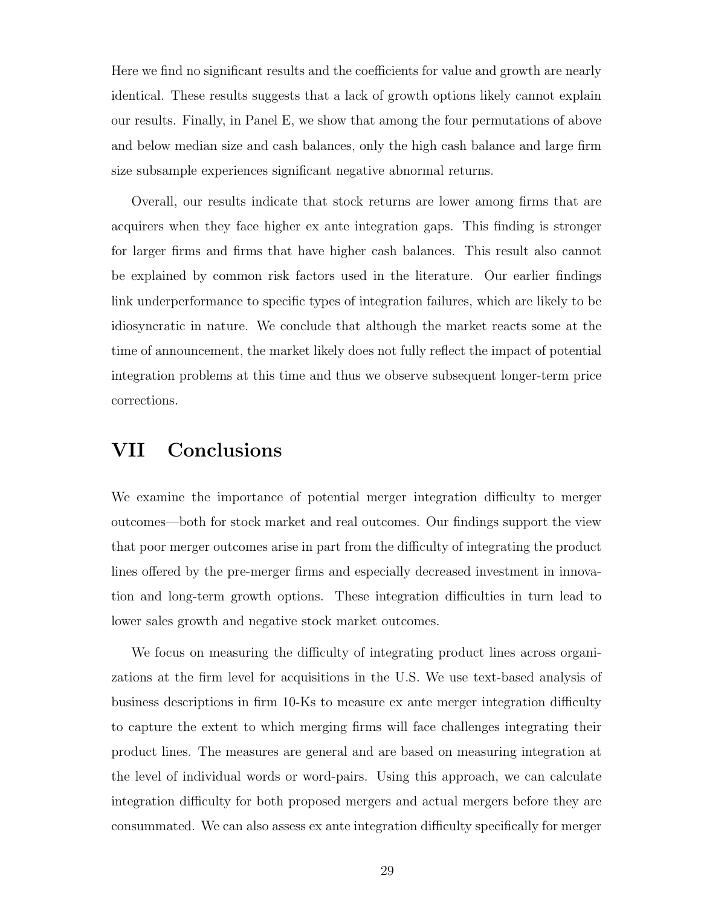Here we find no significant results and the coefficients for value and growth are nearly identical. These results suggests that a lack of growth options likely cannot explain our results. Finally, in Panel E, we show that among the four permutations of above and below median size and cash balances, only the high cash balance and large firm size subsample experiences significant negative abnormal returns.

Overall, our results indicate that stock returns are lower among firms that are acquirers when they face higher ex ante integration gaps. This finding is stronger for larger firms and firms that have higher cash balances. This result also cannot be explained by common risk factors used in the literature. Our earlier findings link underperformance to specific types of integration failures, which are likely to be idiosyncratic in nature. We conclude that although the market reacts some at the time of announcement, the market likely does not fully reflect the impact of potential integration problems at this time and thus we observe subsequent longer-term price corrections.

## VII Conclusions

We examine the importance of potential merger integration difficulty to merger outcomes—both for stock market and real outcomes. Our findings support the view that poor merger outcomes arise in part from the difficulty of integrating the product lines offered by the pre-merger firms and especially decreased investment in innovation and long-term growth options. These integration difficulties in turn lead to lower sales growth and negative stock market outcomes.

We focus on measuring the difficulty of integrating product lines across organizations at the firm level for acquisitions in the U.S. We use text-based analysis of business descriptions in firm 10-Ks to measure ex ante merger integration difficulty to capture the extent to which merging firms will face challenges integrating their product lines. The measures are general and are based on measuring integration at the level of individual words or word-pairs. Using this approach, we can calculate integration difficulty for both proposed mergers and actual mergers before they are consummated. We can also assess ex ante integration difficulty specifically for merger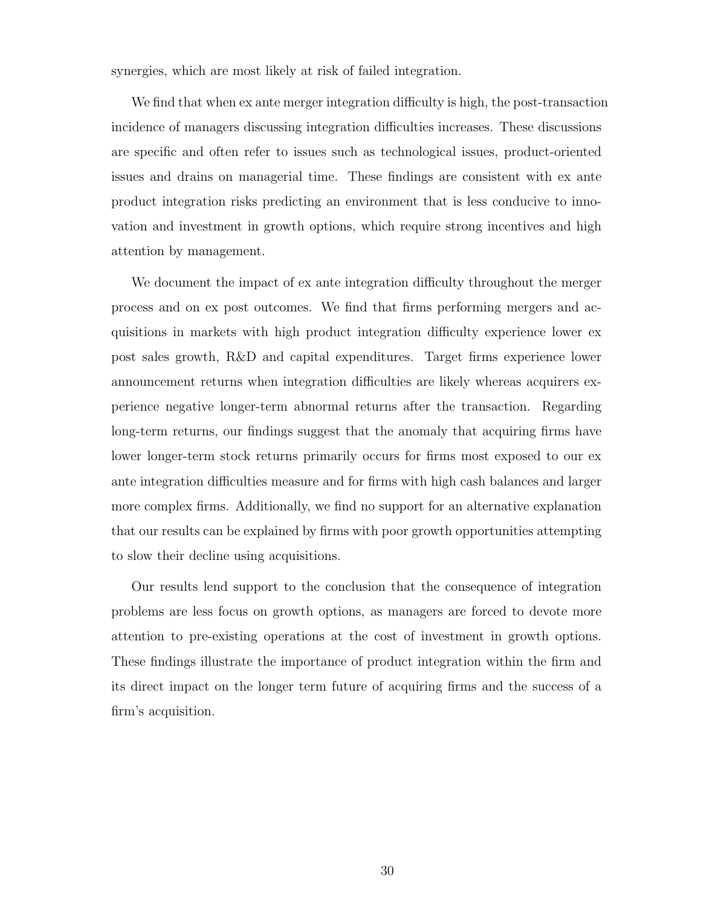synergies, which are most likely at risk of failed integration.

We find that when ex ante merger integration difficulty is high, the post-transaction incidence of managers discussing integration difficulties increases. These discussions are specific and often refer to issues such as technological issues, product-oriented issues and drains on managerial time. These findings are consistent with ex ante product integration risks predicting an environment that is less conducive to innovation and investment in growth options, which require strong incentives and high attention by management.

We document the impact of ex ante integration difficulty throughout the merger process and on ex post outcomes. We find that firms performing mergers and acquisitions in markets with high product integration difficulty experience lower ex post sales growth, R&D and capital expenditures. Target firms experience lower announcement returns when integration difficulties are likely whereas acquirers experience negative longer-term abnormal returns after the transaction. Regarding long-term returns, our findings suggest that the anomaly that acquiring firms have lower longer-term stock returns primarily occurs for firms most exposed to our ex ante integration difficulties measure and for firms with high cash balances and larger more complex firms. Additionally, we find no support for an alternative explanation that our results can be explained by firms with poor growth opportunities attempting to slow their decline using acquisitions.

Our results lend support to the conclusion that the consequence of integration problems are less focus on growth options, as managers are forced to devote more attention to pre-existing operations at the cost of investment in growth options. These findings illustrate the importance of product integration within the firm and its direct impact on the longer term future of acquiring firms and the success of a firm's acquisition.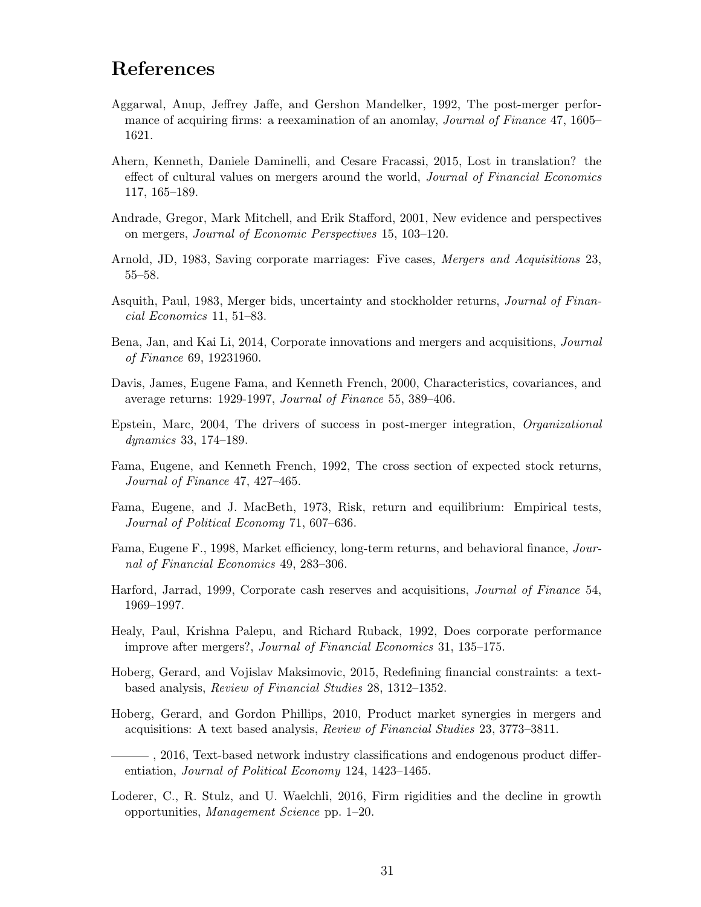## References

- Aggarwal, Anup, Jeffrey Jaffe, and Gershon Mandelker, 1992, The post-merger performance of acquiring firms: a reexamination of an anomlay, *Journal of Finance* 47, 1605– 1621.
- Ahern, Kenneth, Daniele Daminelli, and Cesare Fracassi, 2015, Lost in translation? the effect of cultural values on mergers around the world, Journal of Financial Economics 117, 165–189.
- Andrade, Gregor, Mark Mitchell, and Erik Stafford, 2001, New evidence and perspectives on mergers, Journal of Economic Perspectives 15, 103–120.
- Arnold, JD, 1983, Saving corporate marriages: Five cases, Mergers and Acquisitions 23, 55–58.
- Asquith, Paul, 1983, Merger bids, uncertainty and stockholder returns, Journal of Financial Economics 11, 51–83.
- Bena, Jan, and Kai Li, 2014, Corporate innovations and mergers and acquisitions, Journal of Finance 69, 19231960.
- Davis, James, Eugene Fama, and Kenneth French, 2000, Characteristics, covariances, and average returns: 1929-1997, Journal of Finance 55, 389–406.
- Epstein, Marc, 2004, The drivers of success in post-merger integration, Organizational dynamics 33, 174–189.
- Fama, Eugene, and Kenneth French, 1992, The cross section of expected stock returns, Journal of Finance 47, 427–465.
- Fama, Eugene, and J. MacBeth, 1973, Risk, return and equilibrium: Empirical tests, Journal of Political Economy 71, 607–636.
- Fama, Eugene F., 1998, Market efficiency, long-term returns, and behavioral finance, Journal of Financial Economics 49, 283–306.
- Harford, Jarrad, 1999, Corporate cash reserves and acquisitions, Journal of Finance 54, 1969–1997.
- Healy, Paul, Krishna Palepu, and Richard Ruback, 1992, Does corporate performance improve after mergers?, Journal of Financial Economics 31, 135–175.
- Hoberg, Gerard, and Vojislav Maksimovic, 2015, Redefining financial constraints: a textbased analysis, Review of Financial Studies 28, 1312–1352.
- Hoberg, Gerard, and Gordon Phillips, 2010, Product market synergies in mergers and acquisitions: A text based analysis, Review of Financial Studies 23, 3773–3811.
- , 2016, Text-based network industry classifications and endogenous product differentiation, Journal of Political Economy 124, 1423–1465.
- Loderer, C., R. Stulz, and U. Waelchli, 2016, Firm rigidities and the decline in growth opportunities, Management Science pp. 1–20.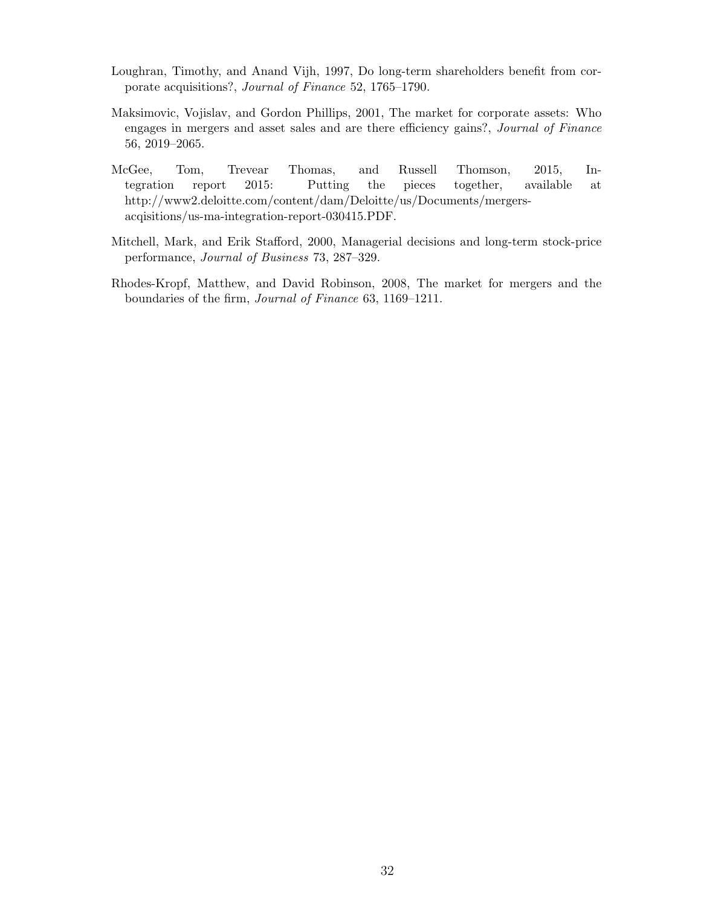- Loughran, Timothy, and Anand Vijh, 1997, Do long-term shareholders benefit from corporate acquisitions?, Journal of Finance 52, 1765–1790.
- Maksimovic, Vojislav, and Gordon Phillips, 2001, The market for corporate assets: Who engages in mergers and asset sales and are there efficiency gains?, Journal of Finance 56, 2019–2065.
- McGee, Tom, Trevear Thomas, and Russell Thomson, 2015, Integration report 2015: Putting the pieces together, available at http://www2.deloitte.com/content/dam/Deloitte/us/Documents/mergersacqisitions/us-ma-integration-report-030415.PDF.
- Mitchell, Mark, and Erik Stafford, 2000, Managerial decisions and long-term stock-price performance, Journal of Business 73, 287–329.
- Rhodes-Kropf, Matthew, and David Robinson, 2008, The market for mergers and the boundaries of the firm, Journal of Finance 63, 1169–1211.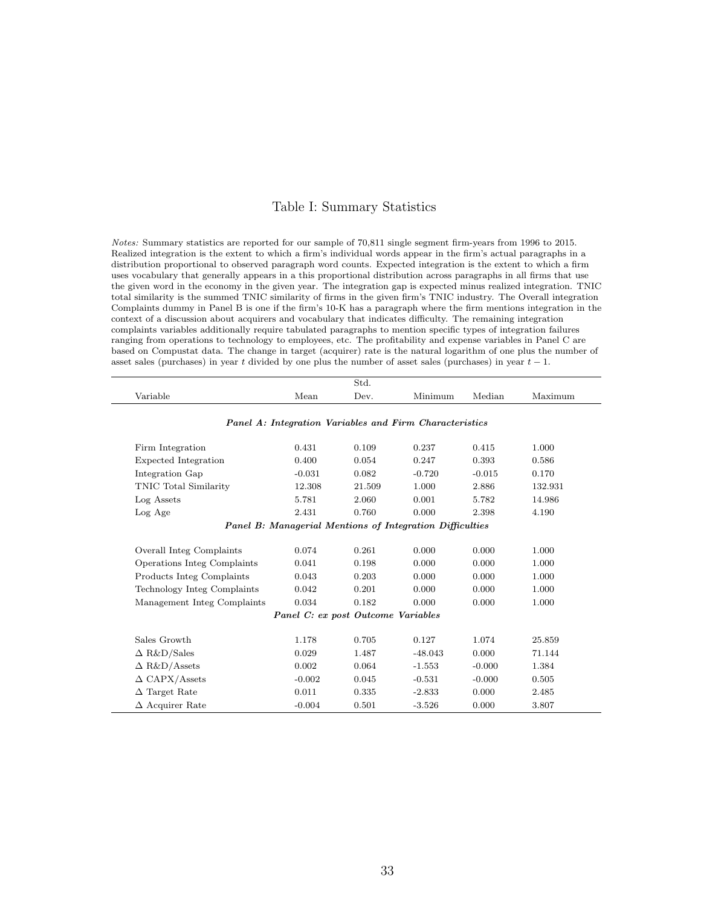#### Table I: Summary Statistics

Notes: Summary statistics are reported for our sample of 70,811 single segment firm-years from 1996 to 2015. Realized integration is the extent to which a firm's individual words appear in the firm's actual paragraphs in a distribution proportional to observed paragraph word counts. Expected integration is the extent to which a firm uses vocabulary that generally appears in a this proportional distribution across paragraphs in all firms that use the given word in the economy in the given year. The integration gap is expected minus realized integration. TNIC total similarity is the summed TNIC similarity of firms in the given firm's TNIC industry. The Overall integration Complaints dummy in Panel B is one if the firm's 10-K has a paragraph where the firm mentions integration in the context of a discussion about acquirers and vocabulary that indicates difficulty. The remaining integration complaints variables additionally require tabulated paragraphs to mention specific types of integration failures ranging from operations to technology to employees, etc. The profitability and expense variables in Panel C are based on Compustat data. The change in target (acquirer) rate is the natural logarithm of one plus the number of asset sales (purchases) in year t divided by one plus the number of asset sales (purchases) in year  $t - 1$ .

|                             |          | Std.                               |                                                                 |          |         |
|-----------------------------|----------|------------------------------------|-----------------------------------------------------------------|----------|---------|
| Variable                    | Mean     | Dev.                               | Minimum                                                         | Median   | Maximum |
|                             |          |                                    | Panel A: Integration Variables and Firm Characteristics         |          |         |
|                             |          |                                    |                                                                 |          |         |
| Firm Integration            | 0.431    | 0.109                              | 0.237                                                           | 0.415    | 1.000   |
| Expected Integration        | 0.400    | 0.054                              | 0.247                                                           | 0.393    | 0.586   |
| Integration Gap             | $-0.031$ | 0.082                              | $-0.720$                                                        | $-0.015$ | 0.170   |
| TNIC Total Similarity       | 12.308   | 21.509                             | 1.000                                                           | 2.886    | 132.931 |
| Log Assets                  | 5.781    | 2.060                              | 0.001                                                           | 5.782    | 14.986  |
| Log Age                     | 2.431    | 0.760                              | 0.000                                                           | 2.398    | 4.190   |
|                             |          |                                    | <b>Panel B: Managerial Mentions of Integration Difficulties</b> |          |         |
|                             |          |                                    |                                                                 |          |         |
| Overall Integ Complaints    | 0.074    | 0.261                              | 0.000                                                           | 0.000    | 1.000   |
| Operations Integ Complaints | 0.041    | 0.198                              | 0.000                                                           | 0.000    | 1.000   |
| Products Integ Complaints   | 0.043    | 0.203                              | 0.000                                                           | 0.000    | 1.000   |
| Technology Integ Complaints | 0.042    | 0.201                              | 0.000                                                           | 0.000    | 1.000   |
| Management Integ Complaints | 0.034    | 0.182                              | 0.000                                                           | 0.000    | 1.000   |
|                             |          | Panel C: ex post Outcome Variables |                                                                 |          |         |
| Sales Growth                | 1.178    | 0.705                              | 0.127                                                           | 1.074    | 25.859  |
| $\Delta$ R&D/Sales          | 0.029    | 1.487                              | $-48.043$                                                       | 0.000    | 71.144  |
| $\Delta$ R&D/Assets         | 0.002    | 0.064                              | $-1.553$                                                        | $-0.000$ | 1.384   |
| $\triangle$ CAPX/Assets     | $-0.002$ | 0.045                              | $-0.531$                                                        | $-0.000$ | 0.505   |
| $\Delta$ Target Rate        | 0.011    | 0.335                              | $-2.833$                                                        | 0.000    | 2.485   |
| $\Delta$ Acquirer Rate      | $-0.004$ | 0.501                              | $-3.526$                                                        | 0.000    | 3.807   |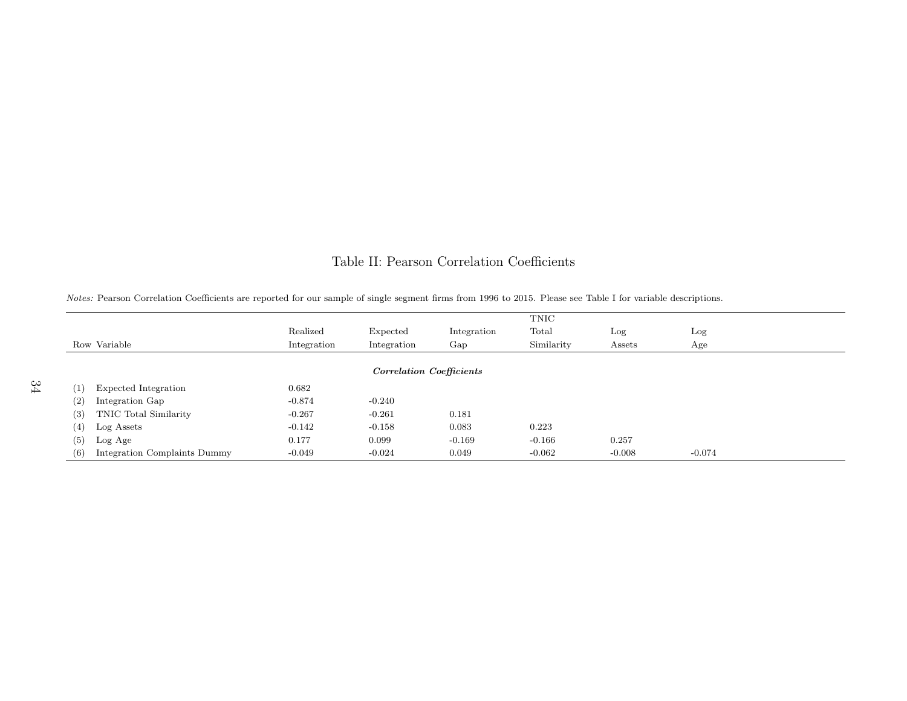### Table II: Pearson Correlation Coefficients

|                                     |             |                                 |             | TNIC       |          |          |  |
|-------------------------------------|-------------|---------------------------------|-------------|------------|----------|----------|--|
|                                     | Realized    | Expected                        | Integration | Total      | Log      | Log      |  |
| Row Variable                        | Integration | Integration                     | Gap         | Similarity | Assets   | Age      |  |
|                                     |             |                                 |             |            |          |          |  |
|                                     |             | <b>Correlation Coefficients</b> |             |            |          |          |  |
| Expected Integration<br>(1)         | 0.682       |                                 |             |            |          |          |  |
| (2)<br>Integration Gap              | $-0.874$    | $-0.240$                        |             |            |          |          |  |
| TNIC Total Similarity<br>(3)        | $-0.267$    | $-0.261$                        | 0.181       |            |          |          |  |
| (4)<br>Log Assets                   | $-0.142$    | $-0.158$                        | 0.083       | 0.223      |          |          |  |
| (5)<br>Log Age                      | 0.177       | 0.099                           | $-0.169$    | $-0.166$   | 0.257    |          |  |
| Integration Complaints Dummy<br>(6) | $-0.049$    | $-0.024$                        | 0.049       | $-0.062$   | $-0.008$ | $-0.074$ |  |

Notes: Pearson Correlation Coefficients are reported for our sample of single segment firms from <sup>1996</sup> to 2015. Please see Table <sup>I</sup> for variable descriptions.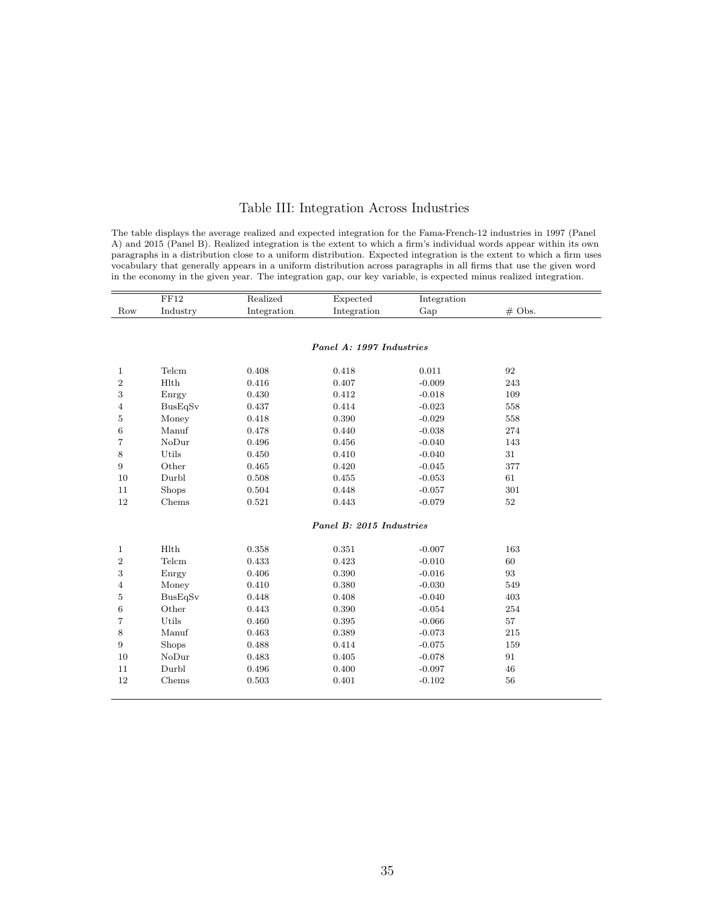#### Table III: Integration Across Industries

The table displays the average realized and expected integration for the Fama-French-12 industries in 1997 (Panel A) and 2015 (Panel B). Realized integration is the extent to which a firm's individual words appear within its own paragraphs in a distribution close to a uniform distribution. Expected integration is the extent to which a firm uses vocabulary that generally appears in a uniform distribution across paragraphs in all firms that use the given word in the economy in the given year. The integration gap, our key variable, is expected minus realized integration.

|                | FF12         | Realized    | Expected                 | Integration |          |
|----------------|--------------|-------------|--------------------------|-------------|----------|
| Row            | Industry     | Integration | Integration              | Gap         | $#$ Obs. |
|                |              |             |                          |             |          |
|                |              |             |                          |             |          |
|                |              |             | Panel A: 1997 Industries |             |          |
|                |              |             |                          |             |          |
| 1              | Telcm        | 0.408       | 0.418                    | 0.011       | 92       |
| $\sqrt{2}$     | <b>H</b> lth | 0.416       | 0.407                    | $-0.009$    | 243      |
| 3              | Enrgy        | 0.430       | 0.412                    | $-0.018$    | 109      |
| 4              | BusEqSv      | 0.437       | 0.414                    | $-0.023$    | 558      |
| 5              | Money        | 0.418       | 0.390                    | $-0.029$    | 558      |
| 6              | Manuf        | 0.478       | 0.440                    | $-0.038$    | 274      |
| 7              | NoDur        | 0.496       | 0.456                    | $-0.040$    | 143      |
| 8              | Utils        | 0.450       | 0.410                    | $-0.040$    | 31       |
| 9              | Other        | 0.465       | 0.420                    | $-0.045$    | 377      |
| 10             | Durbl        | 0.508       | 0.455                    | $-0.053$    | 61       |
| 11             | Shops        | 0.504       | 0.448                    | $-0.057$    | 301      |
| 12             | Chems        | 0.521       | 0.443                    | $-0.079$    | 52       |
|                |              |             | Panel B: 2015 Industries |             |          |
|                |              |             |                          |             |          |
| $\mathbf{1}$   | Hlth         | 0.358       | 0.351                    | $-0.007$    | 163      |
| $\sqrt{2}$     | Telcm        | 0.433       | 0.423                    | $-0.010$    | 60       |
| 3              | Enrgy        | 0.406       | 0.390                    | $-0.016$    | 93       |
| $\overline{4}$ | Money        | 0.410       | 0.380                    | $-0.030$    | 549      |
| $\overline{5}$ | BusEqSv      | 0.448       | 0.408                    | $-0.040$    | 403      |
| 6              | Other        | 0.443       | 0.390                    | $-0.054$    | 254      |
| 7              | Utils        | 0.460       | 0.395                    | $-0.066$    | 57       |
| 8              | Manuf        | 0.463       | 0.389                    | $-0.073$    | 215      |
| 9              | <b>Shops</b> | 0.488       | 0.414                    | $-0.075$    | 159      |
| 10             | NoDur        | 0.483       | 0.405                    | $-0.078$    | 91       |
| 11             | Durbl        | 0.496       | 0.400                    | $-0.097$    | 46       |
| 12             | Chems        | 0.503       | 0.401                    | $-0.102$    | 56       |
|                |              |             |                          |             |          |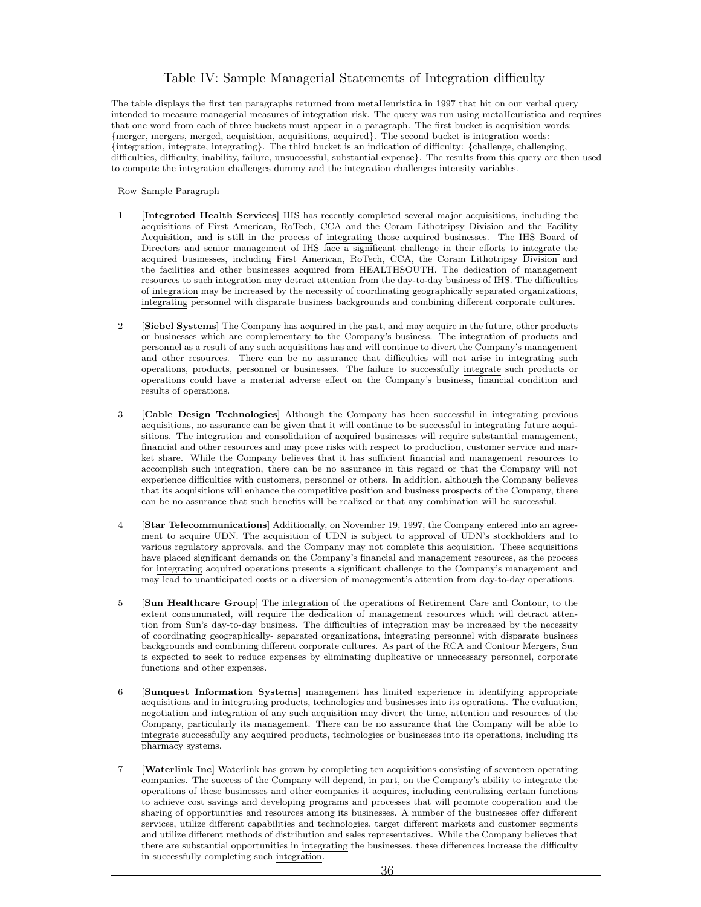#### Table IV: Sample Managerial Statements of Integration difficulty

The table displays the first ten paragraphs returned from metaHeuristica in 1997 that hit on our verbal query intended to measure managerial measures of integration risk. The query was run using metaHeuristica and requires that one word from each of three buckets must appear in a paragraph. The first bucket is acquisition words: {merger, mergers, merged, acquisition, acquisitions, acquired}. The second bucket is integration words: {integration, integrate, integrating}. The third bucket is an indication of difficulty: {challenge, challenging, difficulties, difficulty, inability, failure, unsuccessful, substantial expense}. The results from this query are then used to compute the integration challenges dummy and the integration challenges intensity variables.

Row Sample Paragraph

- 1 [Integrated Health Services] IHS has recently completed several major acquisitions, including the acquisitions of First American, RoTech, CCA and the Coram Lithotripsy Division and the Facility Acquisition, and is still in the process of integrating those acquired businesses. The IHS Board of Directors and senior management of IHS face a significant challenge in their efforts to integrate the acquired businesses, including First American, RoTech, CCA, the Coram Lithotripsy Division and the facilities and other businesses acquired from HEALTHSOUTH. The dedication of management resources to such integration may detract attention from the day-to-day business of IHS. The difficulties of integration may be increased by the necessity of coordinating geographically separated organizations, integrating personnel with disparate business backgrounds and combining different corporate cultures.
- 2 [Siebel Systems] The Company has acquired in the past, and may acquire in the future, other products or businesses which are complementary to the Company's business. The integration of products and personnel as a result of any such acquisitions has and will continue to divert the Company's management and other resources. There can be no assurance that difficulties will not arise in integrating such operations, products, personnel or businesses. The failure to successfully integrate such products or operations could have a material adverse effect on the Company's business, financial condition and results of operations.
- 3 [Cable Design Technologies] Although the Company has been successful in integrating previous acquisitions, no assurance can be given that it will continue to be successful in integrating future acquisitions. The integration and consolidation of acquired businesses will require substantial management, financial and other resources and may pose risks with respect to production, customer service and market share. While the Company believes that it has sufficient financial and management resources to accomplish such integration, there can be no assurance in this regard or that the Company will not experience difficulties with customers, personnel or others. In addition, although the Company believes that its acquisitions will enhance the competitive position and business prospects of the Company, there can be no assurance that such benefits will be realized or that any combination will be successful.
- 4 [Star Telecommunications] Additionally, on November 19, 1997, the Company entered into an agreement to acquire UDN. The acquisition of UDN is subject to approval of UDN's stockholders and to various regulatory approvals, and the Company may not complete this acquisition. These acquisitions have placed significant demands on the Company's financial and management resources, as the process for integrating acquired operations presents a significant challenge to the Company's management and may lead to unanticipated costs or a diversion of management's attention from day-to-day operations.
- 5 [Sun Healthcare Group] The integration of the operations of Retirement Care and Contour, to the extent consummated, will require the dedication of management resources which will detract attention from Sun's day-to-day business. The difficulties of integration may be increased by the necessity of coordinating geographically- separated organizations, integrating personnel with disparate business backgrounds and combining different corporate cultures. As part of the RCA and Contour Mergers, Sun is expected to seek to reduce expenses by eliminating duplicative or unnecessary personnel, corporate functions and other expenses.
- 6 [Sunquest Information Systems] management has limited experience in identifying appropriate acquisitions and in integrating products, technologies and businesses into its operations. The evaluation, negotiation and integration of any such acquisition may divert the time, attention and resources of the Company, particularly its management. There can be no assurance that the Company will be able to integrate successfully any acquired products, technologies or businesses into its operations, including its pharmacy systems.
- 7 [Waterlink Inc] Waterlink has grown by completing ten acquisitions consisting of seventeen operating companies. The success of the Company will depend, in part, on the Company's ability to integrate the operations of these businesses and other companies it acquires, including centralizing certain functions to achieve cost savings and developing programs and processes that will promote cooperation and the sharing of opportunities and resources among its businesses. A number of the businesses offer different services, utilize different capabilities and technologies, target different markets and customer segments and utilize different methods of distribution and sales representatives. While the Company believes that there are substantial opportunities in integrating the businesses, these differences increase the difficulty in successfully completing such integration.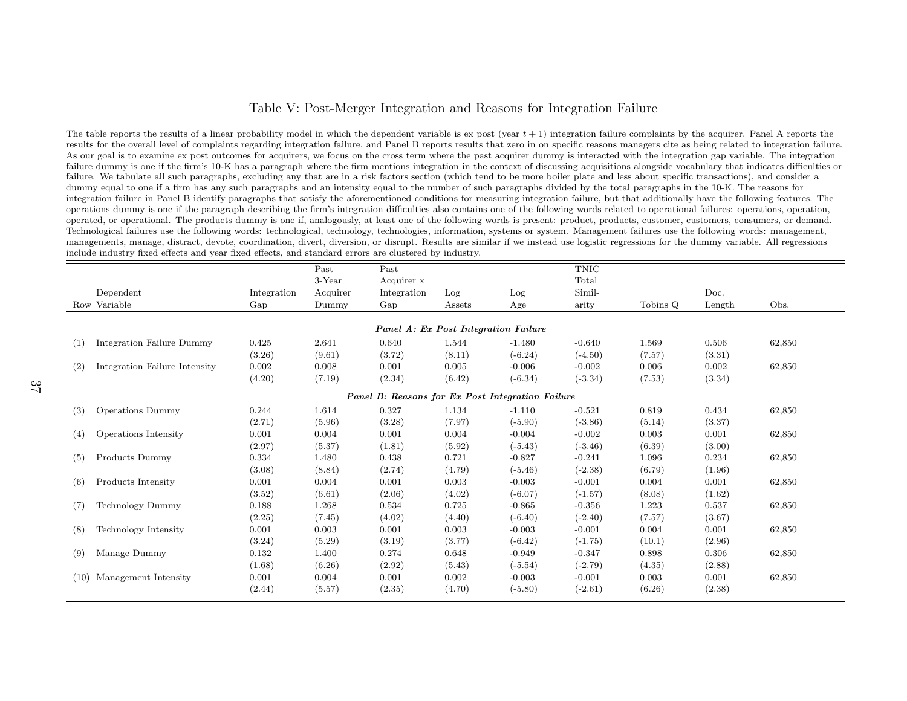#### Table V: Post-Merger Integration and Reasons for Integration Failure

The table reports the results of a linear probability model in which the dependent variable is ex post (year  $t + 1$ ) integration failure complaints by the acquirer. Panel A reports the results for the overall level of complaints regarding integration failure, and Panel B reports results that zero in on specific reasons managers cite as being related to integration failure.As our goal is to examine ex post outcomes for acquirers, we focus on the cross term where the past acquirer dummy is interacted with the integration gap variable. The integration failure dummy is one if the firm's 10-K has <sup>a</sup> paragraph where the firm mentions integration in the context of discussing acquisitions alongside vocabulary that indicates difficulties orfailure. We tabulate all such paragraphs, excluding any that are in <sup>a</sup> risk factors section (which tend to be more boiler <sup>p</sup>late and less about specific transactions), and consider <sup>a</sup>dummy equal to one if a firm has any such paragraphs and an intensity equal to the number of such paragraphs divided by the total paragraphs in the 10-K. The reasons for integration failure in Panel B identify paragraphs that satisfy the aforementioned conditions for measuring integration failure, but that additionally have the following features. The operations dummy is one if the paragraph describing the firm's integration difficulties also contains one of the following words related to operational failures: operations, operation, operated, or operational. The products dummy is one if, analogously, at least one of the following words is present: product, products, customer, customers, consumers, or demand.Technological failures use the following words: technological, technology, technologies, information, systems or system. Management failures use the following words: management, managements, manage, distract, devote, coordination, divert, diversion, or disrupt. Results are similar if we instead use logistic regressions for the dummy variable. All regressionsinclude industry fixed effects and year fixed effects, and standard errors are clustered by industry.

| 3-Year<br>Total<br>Acquirer x<br>Simil-<br>Doc.<br>Dependent<br>Acquirer<br>Integration<br>Integration<br>Log<br>Log<br>Row Variable<br>Tobins Q<br>Obs.<br>Gap<br>Dummy<br>Gap<br>Age<br>arity<br>Assets<br>Length<br>Panel A: Ex Post Integration Failure<br>1.544<br>Integration Failure Dummy<br>0.425<br>2.641<br>0.640<br>$-1.480$<br>$-0.640$<br>1.569<br>0.506<br>62,850<br>(1)<br>$(-6.24)$<br>(3.26)<br>(9.61)<br>(3.72)<br>(8.11)<br>$(-4.50)$<br>(7.57)<br>(3.31)<br>Integration Failure Intensity<br>0.005<br>$-0.006$<br>0.002<br>0.008<br>0.001<br>$-0.002$<br>0.006<br>0.002<br>62,850<br>(2)<br>(4.20)<br>(7.19)<br>(2.34)<br>(6.42)<br>$(-6.34)$<br>$(-3.34)$<br>(7.53)<br>(3.34)<br>Panel B: Reasons for Ex Post Integration Failure<br>0.327<br>$-0.521$<br>0.819<br>0.434<br><b>Operations Dummy</b><br>0.244<br>1.614<br>1.134<br>$-1.110$<br>62,850<br>(3)<br>(2.71)<br>(7.97)<br>$(-5.90)$<br>$(-3.86)$<br>(5.14)<br>(3.37)<br>(5.96)<br>(3.28)<br>0.004<br>0.004<br>0.001<br>$-0.004$<br>$-0.002$<br>0.003<br>0.001<br>62,850<br>Operations Intensity<br>0.001<br>(4)<br>(5.92)<br>(2.97)<br>(5.37)<br>(1.81)<br>$(-5.43)$<br>$(-3.46)$<br>(6.39)<br>(3.00)<br>Products Dummy<br>0.438<br>0.721<br>$-0.827$<br>$-0.241$<br>1.096<br>0.234<br>0.334<br>1.480<br>62,850<br>(5)<br>(2.74)<br>(4.79)<br>$(-2.38)$<br>(6.79)<br>(1.96)<br>(3.08)<br>(8.84)<br>$(-5.46)$<br>Products Intensity<br>0.001<br>0.003<br>$-0.003$<br>$-0.001$<br>0.004<br>0.001<br>0.001<br>0.004<br>62,850<br>(6)<br>(6.61)<br>(2.06)<br>(4.02)<br>$(-6.07)$<br>$(-1.57)$<br>(8.08)<br>(1.62)<br>(3.52)<br>0.725<br><b>Technology Dummy</b><br>0.188<br>1.268<br>0.534<br>$-0.865$<br>$-0.356$<br>1.223<br>0.537<br>62,850<br>(7)<br>(7.45)<br>(4.02)<br>(4.40)<br>$(-6.40)$<br>$(-2.40)$<br>(7.57)<br>(3.67)<br>(2.25)<br>0.003<br>0.001<br>0.003<br>$-0.003$<br>$-0.001$<br>0.004<br>0.001<br>Technology Intensity<br>0.001<br>62,850<br>(8)<br>$(-6.42)$<br>(3.24)<br>(5.29)<br>(3.19)<br>(3.77)<br>$(-1.75)$<br>(10.1)<br>(2.96)<br>0.274<br>0.648<br>Manage Dummy<br>0.132<br>1.400<br>$-0.949$<br>$-0.347$<br>0.898<br>0.306<br>62,850<br>(9) |  |        | Past   | Past   |        |           | <b>TNIC</b> |        |        |  |
|----------------------------------------------------------------------------------------------------------------------------------------------------------------------------------------------------------------------------------------------------------------------------------------------------------------------------------------------------------------------------------------------------------------------------------------------------------------------------------------------------------------------------------------------------------------------------------------------------------------------------------------------------------------------------------------------------------------------------------------------------------------------------------------------------------------------------------------------------------------------------------------------------------------------------------------------------------------------------------------------------------------------------------------------------------------------------------------------------------------------------------------------------------------------------------------------------------------------------------------------------------------------------------------------------------------------------------------------------------------------------------------------------------------------------------------------------------------------------------------------------------------------------------------------------------------------------------------------------------------------------------------------------------------------------------------------------------------------------------------------------------------------------------------------------------------------------------------------------------------------------------------------------------------------------------------------------------------------------------------------------------------------------------------------------------------------------------------------------------------------------------------------------|--|--------|--------|--------|--------|-----------|-------------|--------|--------|--|
|                                                                                                                                                                                                                                                                                                                                                                                                                                                                                                                                                                                                                                                                                                                                                                                                                                                                                                                                                                                                                                                                                                                                                                                                                                                                                                                                                                                                                                                                                                                                                                                                                                                                                                                                                                                                                                                                                                                                                                                                                                                                                                                                                    |  |        |        |        |        |           |             |        |        |  |
|                                                                                                                                                                                                                                                                                                                                                                                                                                                                                                                                                                                                                                                                                                                                                                                                                                                                                                                                                                                                                                                                                                                                                                                                                                                                                                                                                                                                                                                                                                                                                                                                                                                                                                                                                                                                                                                                                                                                                                                                                                                                                                                                                    |  |        |        |        |        |           |             |        |        |  |
|                                                                                                                                                                                                                                                                                                                                                                                                                                                                                                                                                                                                                                                                                                                                                                                                                                                                                                                                                                                                                                                                                                                                                                                                                                                                                                                                                                                                                                                                                                                                                                                                                                                                                                                                                                                                                                                                                                                                                                                                                                                                                                                                                    |  |        |        |        |        |           |             |        |        |  |
|                                                                                                                                                                                                                                                                                                                                                                                                                                                                                                                                                                                                                                                                                                                                                                                                                                                                                                                                                                                                                                                                                                                                                                                                                                                                                                                                                                                                                                                                                                                                                                                                                                                                                                                                                                                                                                                                                                                                                                                                                                                                                                                                                    |  |        |        |        |        |           |             |        |        |  |
|                                                                                                                                                                                                                                                                                                                                                                                                                                                                                                                                                                                                                                                                                                                                                                                                                                                                                                                                                                                                                                                                                                                                                                                                                                                                                                                                                                                                                                                                                                                                                                                                                                                                                                                                                                                                                                                                                                                                                                                                                                                                                                                                                    |  |        |        |        |        |           |             |        |        |  |
|                                                                                                                                                                                                                                                                                                                                                                                                                                                                                                                                                                                                                                                                                                                                                                                                                                                                                                                                                                                                                                                                                                                                                                                                                                                                                                                                                                                                                                                                                                                                                                                                                                                                                                                                                                                                                                                                                                                                                                                                                                                                                                                                                    |  |        |        |        |        |           |             |        |        |  |
|                                                                                                                                                                                                                                                                                                                                                                                                                                                                                                                                                                                                                                                                                                                                                                                                                                                                                                                                                                                                                                                                                                                                                                                                                                                                                                                                                                                                                                                                                                                                                                                                                                                                                                                                                                                                                                                                                                                                                                                                                                                                                                                                                    |  |        |        |        |        |           |             |        |        |  |
|                                                                                                                                                                                                                                                                                                                                                                                                                                                                                                                                                                                                                                                                                                                                                                                                                                                                                                                                                                                                                                                                                                                                                                                                                                                                                                                                                                                                                                                                                                                                                                                                                                                                                                                                                                                                                                                                                                                                                                                                                                                                                                                                                    |  |        |        |        |        |           |             |        |        |  |
|                                                                                                                                                                                                                                                                                                                                                                                                                                                                                                                                                                                                                                                                                                                                                                                                                                                                                                                                                                                                                                                                                                                                                                                                                                                                                                                                                                                                                                                                                                                                                                                                                                                                                                                                                                                                                                                                                                                                                                                                                                                                                                                                                    |  |        |        |        |        |           |             |        |        |  |
|                                                                                                                                                                                                                                                                                                                                                                                                                                                                                                                                                                                                                                                                                                                                                                                                                                                                                                                                                                                                                                                                                                                                                                                                                                                                                                                                                                                                                                                                                                                                                                                                                                                                                                                                                                                                                                                                                                                                                                                                                                                                                                                                                    |  |        |        |        |        |           |             |        |        |  |
|                                                                                                                                                                                                                                                                                                                                                                                                                                                                                                                                                                                                                                                                                                                                                                                                                                                                                                                                                                                                                                                                                                                                                                                                                                                                                                                                                                                                                                                                                                                                                                                                                                                                                                                                                                                                                                                                                                                                                                                                                                                                                                                                                    |  |        |        |        |        |           |             |        |        |  |
|                                                                                                                                                                                                                                                                                                                                                                                                                                                                                                                                                                                                                                                                                                                                                                                                                                                                                                                                                                                                                                                                                                                                                                                                                                                                                                                                                                                                                                                                                                                                                                                                                                                                                                                                                                                                                                                                                                                                                                                                                                                                                                                                                    |  |        |        |        |        |           |             |        |        |  |
|                                                                                                                                                                                                                                                                                                                                                                                                                                                                                                                                                                                                                                                                                                                                                                                                                                                                                                                                                                                                                                                                                                                                                                                                                                                                                                                                                                                                                                                                                                                                                                                                                                                                                                                                                                                                                                                                                                                                                                                                                                                                                                                                                    |  |        |        |        |        |           |             |        |        |  |
|                                                                                                                                                                                                                                                                                                                                                                                                                                                                                                                                                                                                                                                                                                                                                                                                                                                                                                                                                                                                                                                                                                                                                                                                                                                                                                                                                                                                                                                                                                                                                                                                                                                                                                                                                                                                                                                                                                                                                                                                                                                                                                                                                    |  |        |        |        |        |           |             |        |        |  |
|                                                                                                                                                                                                                                                                                                                                                                                                                                                                                                                                                                                                                                                                                                                                                                                                                                                                                                                                                                                                                                                                                                                                                                                                                                                                                                                                                                                                                                                                                                                                                                                                                                                                                                                                                                                                                                                                                                                                                                                                                                                                                                                                                    |  |        |        |        |        |           |             |        |        |  |
|                                                                                                                                                                                                                                                                                                                                                                                                                                                                                                                                                                                                                                                                                                                                                                                                                                                                                                                                                                                                                                                                                                                                                                                                                                                                                                                                                                                                                                                                                                                                                                                                                                                                                                                                                                                                                                                                                                                                                                                                                                                                                                                                                    |  |        |        |        |        |           |             |        |        |  |
|                                                                                                                                                                                                                                                                                                                                                                                                                                                                                                                                                                                                                                                                                                                                                                                                                                                                                                                                                                                                                                                                                                                                                                                                                                                                                                                                                                                                                                                                                                                                                                                                                                                                                                                                                                                                                                                                                                                                                                                                                                                                                                                                                    |  |        |        |        |        |           |             |        |        |  |
|                                                                                                                                                                                                                                                                                                                                                                                                                                                                                                                                                                                                                                                                                                                                                                                                                                                                                                                                                                                                                                                                                                                                                                                                                                                                                                                                                                                                                                                                                                                                                                                                                                                                                                                                                                                                                                                                                                                                                                                                                                                                                                                                                    |  |        |        |        |        |           |             |        |        |  |
|                                                                                                                                                                                                                                                                                                                                                                                                                                                                                                                                                                                                                                                                                                                                                                                                                                                                                                                                                                                                                                                                                                                                                                                                                                                                                                                                                                                                                                                                                                                                                                                                                                                                                                                                                                                                                                                                                                                                                                                                                                                                                                                                                    |  |        |        |        |        |           |             |        |        |  |
|                                                                                                                                                                                                                                                                                                                                                                                                                                                                                                                                                                                                                                                                                                                                                                                                                                                                                                                                                                                                                                                                                                                                                                                                                                                                                                                                                                                                                                                                                                                                                                                                                                                                                                                                                                                                                                                                                                                                                                                                                                                                                                                                                    |  |        |        |        |        |           |             |        |        |  |
|                                                                                                                                                                                                                                                                                                                                                                                                                                                                                                                                                                                                                                                                                                                                                                                                                                                                                                                                                                                                                                                                                                                                                                                                                                                                                                                                                                                                                                                                                                                                                                                                                                                                                                                                                                                                                                                                                                                                                                                                                                                                                                                                                    |  |        |        |        |        |           |             |        |        |  |
|                                                                                                                                                                                                                                                                                                                                                                                                                                                                                                                                                                                                                                                                                                                                                                                                                                                                                                                                                                                                                                                                                                                                                                                                                                                                                                                                                                                                                                                                                                                                                                                                                                                                                                                                                                                                                                                                                                                                                                                                                                                                                                                                                    |  |        |        |        |        |           |             |        |        |  |
|                                                                                                                                                                                                                                                                                                                                                                                                                                                                                                                                                                                                                                                                                                                                                                                                                                                                                                                                                                                                                                                                                                                                                                                                                                                                                                                                                                                                                                                                                                                                                                                                                                                                                                                                                                                                                                                                                                                                                                                                                                                                                                                                                    |  |        |        |        |        |           |             |        |        |  |
|                                                                                                                                                                                                                                                                                                                                                                                                                                                                                                                                                                                                                                                                                                                                                                                                                                                                                                                                                                                                                                                                                                                                                                                                                                                                                                                                                                                                                                                                                                                                                                                                                                                                                                                                                                                                                                                                                                                                                                                                                                                                                                                                                    |  | (1.68) | (6.26) | (2.92) | (5.43) | $(-5.54)$ | $(-2.79)$   | (4.35) | (2.88) |  |
| 0.002<br>Management Intensity<br>0.001<br>0.004<br>0.001<br>$-0.003$<br>$-0.001$<br>0.003<br>0.001<br>62,850<br>(10)                                                                                                                                                                                                                                                                                                                                                                                                                                                                                                                                                                                                                                                                                                                                                                                                                                                                                                                                                                                                                                                                                                                                                                                                                                                                                                                                                                                                                                                                                                                                                                                                                                                                                                                                                                                                                                                                                                                                                                                                                               |  |        |        |        |        |           |             |        |        |  |
| (2.38)<br>(2.44)<br>(5.57)<br>(2.35)<br>(4.70)<br>$(-5.80)$<br>$(-2.61)$<br>(6.26)                                                                                                                                                                                                                                                                                                                                                                                                                                                                                                                                                                                                                                                                                                                                                                                                                                                                                                                                                                                                                                                                                                                                                                                                                                                                                                                                                                                                                                                                                                                                                                                                                                                                                                                                                                                                                                                                                                                                                                                                                                                                 |  |        |        |        |        |           |             |        |        |  |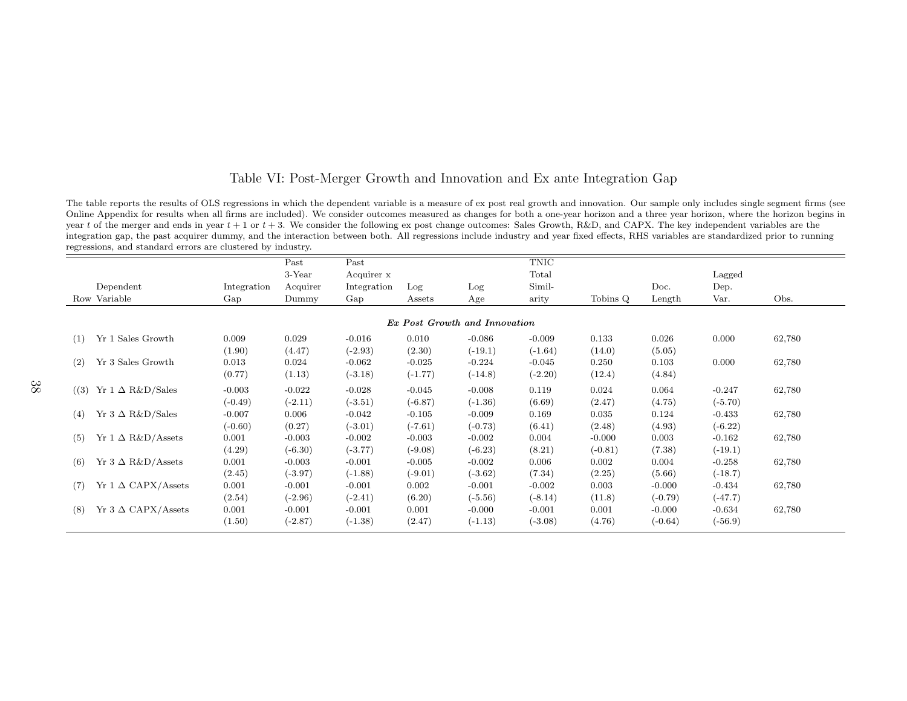#### Table VI: Post-Merger Growth and Innovation and Ex ante Integration Gap

The table reports the results of OLS regressions in which the dependent variable is a measure of ex post real growth and innovation. Our sample only includes single segment firms (see Online Appendix for results when all firms are included). We consider outcomes measured as changes for both <sup>a</sup> one-year horizon and <sup>a</sup> three year horizon, where the horizon begins inyear t of the merger and ends in year  $t + 1$  or  $t + 3$ . We consider the following ex post change outcomes: Sales Growth, R&D, and CAPX. The key independent variables are the integration gap, the past acquirer dummy, and the interaction between both. All regressions include industry and year fixed effects, RHS variables are standardized prior to runningregressions, and standard errors are clustered by industry.

|                               |                           |             | Past      | Past        |           |           | TNIC      |           |           |           |        |  |
|-------------------------------|---------------------------|-------------|-----------|-------------|-----------|-----------|-----------|-----------|-----------|-----------|--------|--|
|                               |                           |             | $3$ -Year | Acquirer x  |           |           | Total     |           |           | Lagged    |        |  |
|                               | Dependent                 | Integration | Acquirer  | Integration | Log       | Log       | Simil-    |           | Doc.      | Dep.      |        |  |
|                               | Row Variable              | Gap         | Dummy     | Gap         | Assets    | Age       | arity     | Tobins Q  | Length    | Var.      | Obs.   |  |
|                               |                           |             |           |             |           |           |           |           |           |           |        |  |
| Ex Post Growth and Innovation |                           |             |           |             |           |           |           |           |           |           |        |  |
| (1)                           | Yr 1 Sales Growth         | 0.009       | 0.029     | $-0.016$    | 0.010     | $-0.086$  | $-0.009$  | 0.133     | 0.026     | 0.000     | 62,780 |  |
|                               |                           | (1.90)      | (4.47)    | $(-2.93)$   | (2.30)    | $(-19.1)$ | $(-1.64)$ | (14.0)    | (5.05)    |           |        |  |
| (2)                           | Yr 3 Sales Growth         | 0.013       | 0.024     | $-0.062$    | $-0.025$  | $-0.224$  | $-0.045$  | 0.250     | 0.103     | 0.000     | 62,780 |  |
|                               |                           | (0.77)      | (1.13)    | $(-3.18)$   | $(-1.77)$ | $(-14.8)$ | $(-2.20)$ | (12.4)    | (4.84)    |           |        |  |
| (3)                           | Yr $1 \Delta$ R&D/Sales   | $-0.003$    | $-0.022$  | $-0.028$    | $-0.045$  | $-0.008$  | 0.119     | 0.024     | 0.064     | $-0.247$  | 62,780 |  |
|                               |                           | $(-0.49)$   | $(-2.11)$ | $(-3.51)$   | $(-6.87)$ | $(-1.36)$ | (6.69)    | (2.47)    | (4.75)    | $(-5.70)$ |        |  |
| (4)                           | Yr 3 $\Delta$ R&D/Sales   | $-0.007$    | 0.006     | $-0.042$    | $-0.105$  | $-0.009$  | 0.169     | 0.035     | 0.124     | $-0.433$  | 62,780 |  |
|                               |                           | $(-0.60)$   | (0.27)    | $(-3.01)$   | $(-7.61)$ | $(-0.73)$ | (6.41)    | (2.48)    | (4.93)    | $(-6.22)$ |        |  |
| (5)                           | $Yr 1 \Delta R\&D/Assets$ | 0.001       | $-0.003$  | $-0.002$    | $-0.003$  | $-0.002$  | 0.004     | $-0.000$  | 0.003     | $-0.162$  | 62,780 |  |
|                               |                           | (4.29)      | $(-6.30)$ | $(-3.77)$   | $(-9.08)$ | $(-6.23)$ | (8.21)    | $(-0.81)$ | (7.38)    | $(-19.1)$ |        |  |
| (6)                           | Yr 3 $\Delta$ R&D/Assets  | 0.001       | $-0.003$  | $-0.001$    | $-0.005$  | $-0.002$  | 0.006     | 0.002     | 0.004     | $-0.258$  | 62,780 |  |
|                               |                           | (2.45)      | $(-3.97)$ | $(-1.88)$   | $(-9.01)$ | $(-3.62)$ | (7.34)    | (2.25)    | (5.66)    | $(-18.7)$ |        |  |
| (7)                           | $Yr 1 \Delta$ CAPX/Assets | 0.001       | $-0.001$  | $-0.001$    | 0.002     | $-0.001$  | $-0.002$  | 0.003     | $-0.000$  | $-0.434$  | 62,780 |  |
|                               |                           | (2.54)      | $(-2.96)$ | $(-2.41)$   | (6.20)    | $(-5.56)$ | $(-8.14)$ | (11.8)    | $(-0.79)$ | $(-47.7)$ |        |  |
| (8)                           | Yr 3 $\Delta$ CAPX/Assets | 0.001       | $-0.001$  | $-0.001$    | 0.001     | $-0.000$  | $-0.001$  | 0.001     | $-0.000$  | $-0.634$  | 62,780 |  |
|                               |                           | (1.50)      | $(-2.87)$ | $(-1.38)$   | (2.47)    | $(-1.13)$ | $(-3.08)$ | (4.76)    | $(-0.64)$ | $(-56.9)$ |        |  |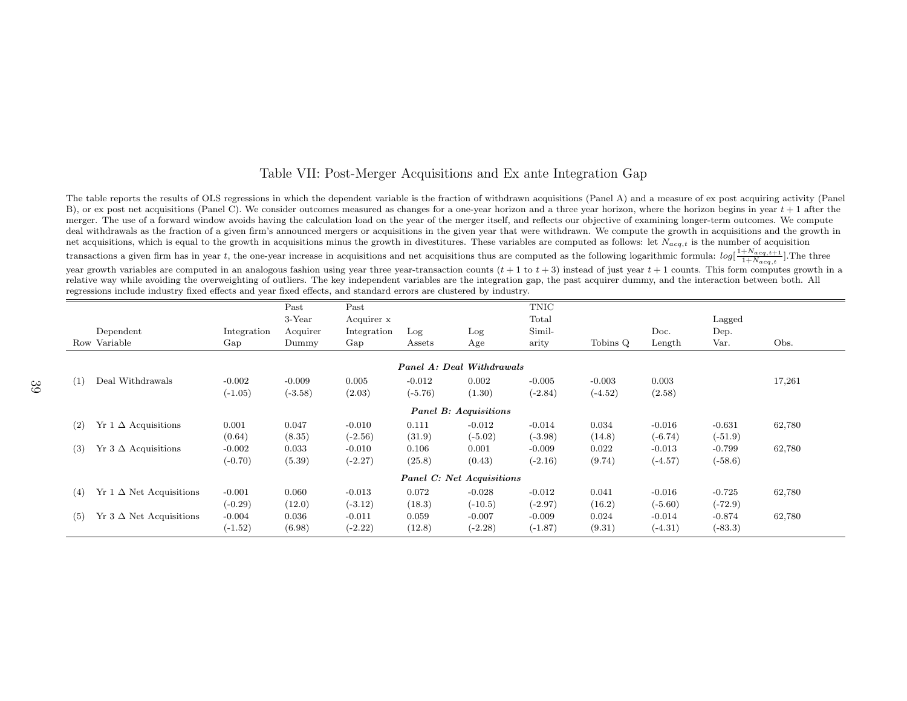#### Table VII: Post-Merger Acquisitions and Ex ante Integration Gap

The table reports the results of OLS regressions in which the dependent variable is the fraction of withdrawn acquisitions (Panel A) and <sup>a</sup> measure of ex post acquiring activity (PanelB), or ex post net acquisitions (Panel C). We consider outcomes measured as changes for a one-year horizon and a three year horizon, where the horizon begins in year  $t + 1$  after the merger. The use of <sup>a</sup> forward window avoids having the calculation load on the year of the merger itself, and reflects our objective of examining longer-term outcomes. We compute deal withdrawals as the fraction of <sup>a</sup> given firm's announced mergers or acquisitions in the given year that were withdrawn. We compute the growth in acquisitions and the growth innet acquisitions, which is equal to the growth in acquisitions minus the growth in divestitures. These variables are computed as follows: let  $N_{acq,t}$  is the number of acquisition

transactions a given firm has in year t, the one-year increase in acquisitions and net acquisitions thus are computed as the following logarithmic formula:  $log[\frac{1+N_{acq,t+1}}{1+N_{acq,t}}]$ . The three

year growth variables are computed in an analogous fashion using year three year-transaction counts  $(t + 1$  to  $t + 3)$  instead of just year  $t + 1$  counts. This form computes growth in a relative way while avoiding the overweighting of outliers. The key independent variables are the integration gap, the past acquirer dummy, and the interaction between both. Allregressions include industry fixed effects and year fixed effects, and standard errors are clustered by industry.

|     |                                    |             | Past      | Past        |           |                                  | TNIC      |           |           |           |        |  |
|-----|------------------------------------|-------------|-----------|-------------|-----------|----------------------------------|-----------|-----------|-----------|-----------|--------|--|
|     |                                    |             | 3-Year    | Acquirer x  |           |                                  | Total     |           |           | Lagged    |        |  |
|     | Dependent                          | Integration | Acquirer  | Integration | Log       | Log                              | Simil-    |           | Doc.      | Dep.      |        |  |
|     | Row Variable                       | Gap         | Dummy     | Gap         | Assets    | Age                              | arity     | Tobins Q  | Length    | Var.      | Obs.   |  |
|     |                                    |             |           |             |           | <b>Panel A: Deal Withdrawals</b> |           |           |           |           |        |  |
|     |                                    |             |           |             |           |                                  |           |           |           |           |        |  |
| (1) | Deal Withdrawals                   | $-0.002$    | $-0.009$  | 0.005       | $-0.012$  | 0.002                            | $-0.005$  | $-0.003$  | 0.003     |           | 17,261 |  |
|     |                                    | $(-1.05)$   | $(-3.58)$ | (2.03)      | $(-5.76)$ | (1.30)                           | $(-2.84)$ | $(-4.52)$ | (2.58)    |           |        |  |
|     | Panel B: Acquisitions              |             |           |             |           |                                  |           |           |           |           |        |  |
| (2) | $Yr 1 \Delta$ Acquisitions         | 0.001       | 0.047     | $-0.010$    | 0.111     | $-0.012$                         | $-0.014$  | 0.034     | $-0.016$  | $-0.631$  | 62,780 |  |
|     |                                    | (0.64)      | (8.35)    | $(-2.56)$   | (31.9)    | $(-5.02)$                        | $(-3.98)$ | (14.8)    | $(-6.74)$ | $(-51.9)$ |        |  |
| (3) | $Yr \, 3 \Delta$ Acquisitions      | $-0.002$    | 0.033     | $-0.010$    | 0.106     | 0.001                            | $-0.009$  | 0.022     | $-0.013$  | $-0.799$  | 62,780 |  |
|     |                                    | $(-0.70)$   | (5.39)    | $(-2.27)$   | (25.8)    | (0.43)                           | $(-2.16)$ | (9.74)    | $(-4.57)$ | $(-58.6)$ |        |  |
|     |                                    |             |           |             |           | Panel C: Net Acquisitions        |           |           |           |           |        |  |
| (4) | $Yr \perp \Delta$ Net Acquisitions | $-0.001$    | 0.060     | $-0.013$    | 0.072     | $-0.028$                         | $-0.012$  | 0.041     | $-0.016$  | $-0.725$  | 62,780 |  |
|     |                                    | $(-0.29)$   | (12.0)    | $(-3.12)$   | (18.3)    | $(-10.5)$                        | $(-2.97)$ | (16.2)    | $(-5.60)$ | $(-72.9)$ |        |  |
| (5) | $Yr$ 3 $\Delta$ Net Acquisitions   | $-0.004$    | 0.036     | $-0.011$    | 0.059     | $-0.007$                         | $-0.009$  | 0.024     | $-0.014$  | $-0.874$  | 62,780 |  |
|     |                                    | $(-1.52)$   | (6.98)    | $(-2.22)$   | (12.8)    | $(-2.28)$                        | $(-1.87)$ | (9.31)    | $(-4.31)$ | $(-83.3)$ |        |  |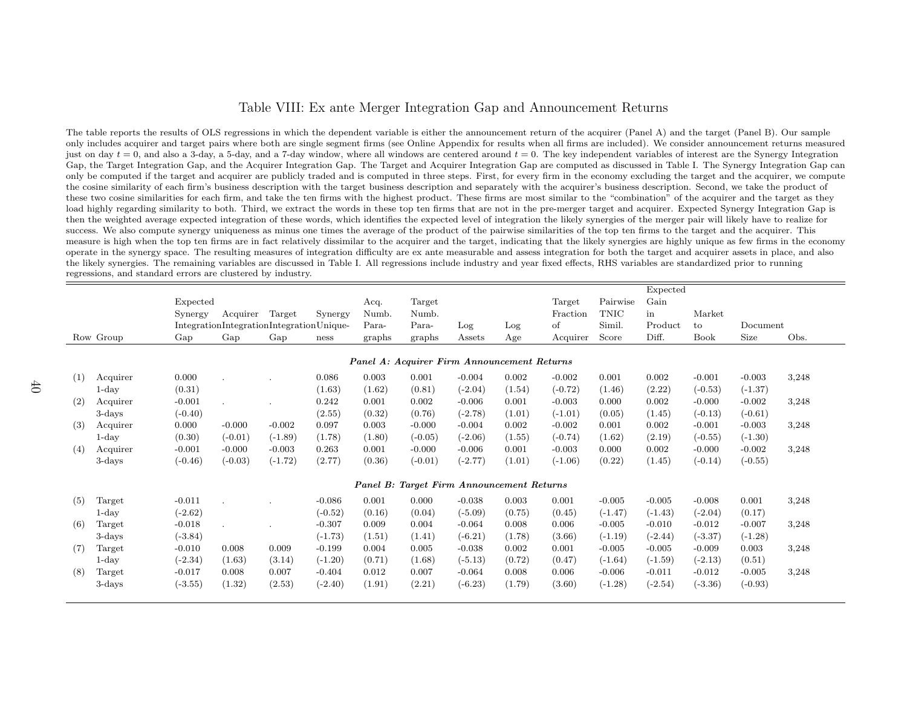#### Table VIII: Ex ante Merger Integration Gap and Announcement Returns

The table reports the results of OLS regressions in which the dependent variable is either the announcement return of the acquirer (Panel A) and the target (Panel B). Our sample only includes acquirer and target pairs where both are single segment firms (see Online Appendix for results when all firms are included). We consider announcement returns measuredjust on day  $t = 0$ , and also a 3-day, a 5-day, and a 7-day window, where all windows are centered around  $t = 0$ . The key independent variables of interest are the Synergy Integration Gap, the Target Integration Gap, and the Acquirer Integration Gap. The Target and Acquirer Integration Gap are computed as discussed in Table I. The Synergy Integration Gap can only be computed if the target and acquirer are publicly traded and is computed in three steps. First, for every firm in the economy excluding the target and the acquirer, we computethe cosine similarity of each firm's business description with the target business description and separately with the acquirer's business description. Second, we take the product ofthese two cosine similarities for each firm, and take the ten firms with the highest product. These firms are most similar to the "combination" of the acquirer and the target as they load highly regarding similarity to both. Third, we extract the words in these top ten firms that are not in the pre-merger target and acquirer. Expected Synergy Integration Gap isthen the weighted average expected integration of these words, which identifies the expected level of integration the likely synergies of the merger pair will likely have to realize forsuccess. We also compute synergy uniqueness as minus one times the average of the product of the pairwise similarities of the top ten firms to the target and the acquirer. This measure is high when the top ten firms are in fact relatively dissimilar to the acquirer and the target, indicating that the likely synergies are highly unique as few firms in the economyoperate in the synergy space. The resulting measures of integration difficulty are ex ante measurable and assess integration for both the target and acquirer assets in <sup>p</sup>lace, and alsothe likely synergies. The remaining variables are discussed in Table I. All regressions include industry and year fixed effects, RHS variables are standardized prior to runningregressions, and standard errors are clustered by industry.

|     |           |           |                                          |           |           |        |                                             |                         |        |           |           | Expected  |             |           |       |
|-----|-----------|-----------|------------------------------------------|-----------|-----------|--------|---------------------------------------------|-------------------------|--------|-----------|-----------|-----------|-------------|-----------|-------|
|     |           | Expected  |                                          |           |           | Acq.   | Target                                      |                         |        | Target    | Pairwise  | Gain      |             |           |       |
|     |           | Synergy   | Acquirer                                 | Target    | Synergy   | Numb.  | Numb.                                       |                         |        | Fraction  | TNIC      | in        | Market      |           |       |
|     |           |           | IntegrationIntegrationIntegrationUnique- |           |           | Para-  | Para-                                       | Log                     | Log    | of        | Simil.    | Product   | to          | Document  |       |
|     | Row Group | Gap       | Gap                                      | Gap       | ness      | graphs | graphs                                      | $\operatorname{Assets}$ | Age    | Acquirer  | Score     | Diff.     | <b>Book</b> | Size      | Obs.  |
|     |           |           |                                          |           |           |        |                                             |                         |        |           |           |           |             |           |       |
|     |           |           |                                          |           |           |        | Panel A: Acquirer Firm Announcement Returns |                         |        |           |           |           |             |           |       |
| (1) | Acquirer  | 0.000     |                                          |           | 0.086     | 0.003  | 0.001                                       | $-0.004$                | 0.002  | $-0.002$  | 0.001     | 0.002     | $-0.001$    | $-0.003$  | 3,248 |
|     | $1$ -day  | (0.31)    |                                          |           | (1.63)    | (1.62) | (0.81)                                      | $(-2.04)$               | (1.54) | $(-0.72)$ | (1.46)    | (2.22)    | $(-0.53)$   | $(-1.37)$ |       |
| (2) | Acquirer  | $-0.001$  |                                          |           | 0.242     | 0.001  | 0.002                                       | $-0.006$                | 0.001  | $-0.003$  | 0.000     | 0.002     | $-0.000$    | $-0.002$  | 3,248 |
|     | $3$ -days | $(-0.40)$ |                                          |           | (2.55)    | (0.32) | (0.76)                                      | $(-2.78)$               | (1.01) | $(-1.01)$ | (0.05)    | (1.45)    | $(-0.13)$   | $(-0.61)$ |       |
| (3) | Acquirer  | 0.000     | $-0.000$                                 | $-0.002$  | 0.097     | 0.003  | $-0.000$                                    | $-0.004$                | 0.002  | $-0.002$  | 0.001     | 0.002     | $-0.001$    | $-0.003$  | 3,248 |
|     | $1$ -day  | (0.30)    | $(-0.01)$                                | $(-1.89)$ | (1.78)    | (1.80) | $(-0.05)$                                   | $(-2.06)$               | (1.55) | $(-0.74)$ | (1.62)    | (2.19)    | $(-0.55)$   | $(-1.30)$ |       |
| (4) | Acquirer  | $-0.001$  | $-0.000$                                 | $-0.003$  | 0.263     | 0.001  | $-0.000$                                    | $-0.006$                | 0.001  | $-0.003$  | 0.000     | 0.002     | $-0.000$    | $-0.002$  | 3,248 |
|     | $3$ -days | $(-0.46)$ | $(-0.03)$                                | $(-1.72)$ | (2.77)    | (0.36) | $(-0.01)$                                   | $(-2.77)$               | (1.01) | $(-1.06)$ | (0.22)    | (1.45)    | $(-0.14)$   | $(-0.55)$ |       |
|     |           |           |                                          |           |           |        | Panel B: Target Firm Announcement Returns   |                         |        |           |           |           |             |           |       |
| (5) | Target    | $-0.011$  |                                          |           | $-0.086$  | 0.001  | 0.000                                       | $-0.038$                | 0.003  | 0.001     | $-0.005$  | $-0.005$  | $-0.008$    | 0.001     | 3,248 |
|     | $1$ -day  | $(-2.62)$ |                                          |           | $(-0.52)$ | (0.16) | (0.04)                                      | $(-5.09)$               | (0.75) | (0.45)    | $(-1.47)$ | $(-1.43)$ | $(-2.04)$   | (0.17)    |       |
| (6) | Target    | $-0.018$  |                                          |           | $-0.307$  | 0.009  | 0.004                                       | $-0.064$                | 0.008  | 0.006     | $-0.005$  | $-0.010$  | $-0.012$    | $-0.007$  | 3,248 |
|     | $3$ -days | $(-3.84)$ |                                          |           | $(-1.73)$ | (1.51) | (1.41)                                      | $(-6.21)$               | (1.78) | (3.66)    | $(-1.19)$ | $(-2.44)$ | $(-3.37)$   | $(-1.28)$ |       |
| (7) | Target    | $-0.010$  | 0.008                                    | 0.009     | $-0.199$  | 0.004  | 0.005                                       | $-0.038$                | 0.002  | 0.001     | $-0.005$  | $-0.005$  | $-0.009$    | 0.003     | 3,248 |
|     | $1$ -day  | $(-2.34)$ | (1.63)                                   | (3.14)    | $(-1.20)$ | (0.71) | (1.68)                                      | $(-5.13)$               | (0.72) | (0.47)    | $(-1.64)$ | $(-1.59)$ | $(-2.13)$   | (0.51)    |       |
| (8) | Target    | $-0.017$  | 0.008                                    | 0.007     | $-0.404$  | 0.012  | 0.007                                       | $-0.064$                | 0.008  | 0.006     | $-0.006$  | $-0.011$  | $-0.012$    | $-0.005$  | 3,248 |
|     | 3-days    | $(-3.55)$ | (1.32)                                   | (2.53)    | $(-2.40)$ | (1.91) | (2.21)                                      | $(-6.23)$               | (1.79) | (3.60)    | $(-1.28)$ | $(-2.54)$ | $(-3.36)$   | $(-0.93)$ |       |
|     |           |           |                                          |           |           |        |                                             |                         |        |           |           |           |             |           |       |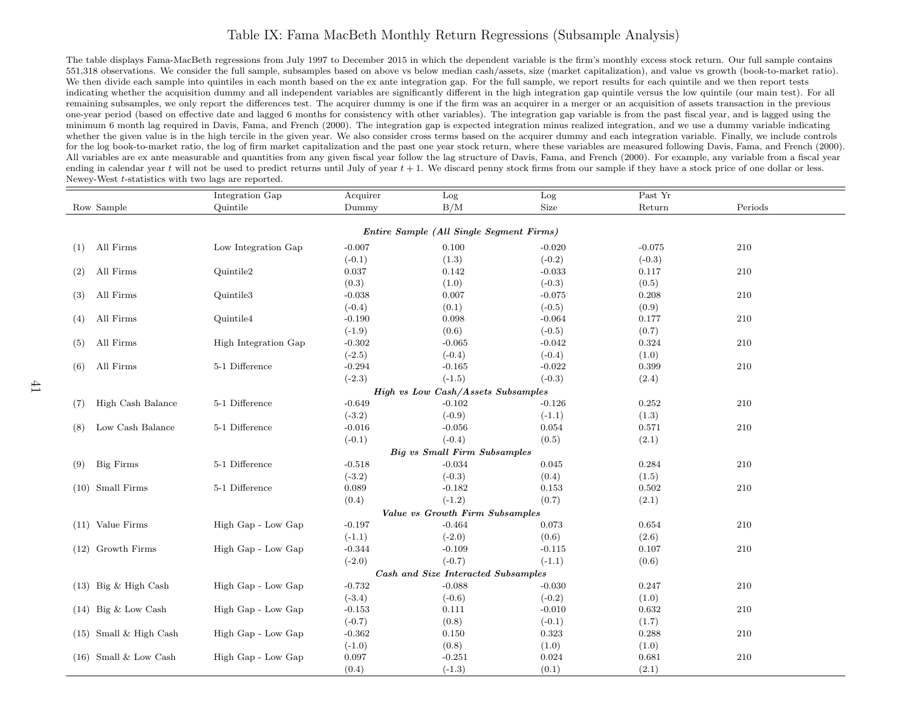#### Table IX: Fama MacBeth Monthly Return Regressions (Subsample Analysis)

The table displays Fama-MacBeth regressions from July 1997 to December 2015 in which the dependent variable is the firm's monthly excess stock return. Our full sample contains 551,318 observations. We consider the full sample, subsamples based on above vs below median cash/assets, size (market capitalization), and value vs growth (book-to-market ratio).We then divide each sample into quintiles in each month based on the ex ante integration gap. For the full sample, we report results for each quintile and we then report tests indicating whether the acquisition dummy and all independent variables are significantly different in the high integration gap quintile versus the low quintile (our main test). For allremaining subsamples, we only report the differences test. The acquirer dummy is one if the firm was an acquirer in <sup>a</sup> merger or an acquisition of assets transaction in the previous one-year period (based on effective date and lagged <sup>6</sup> months for consistency with other variables). The integration gap variable is from the past fiscal year, and is lagged using the minimum <sup>6</sup> month lag required in Davis, Fama, and French (2000). The integration gap is expected integration minus realized integration, and we use <sup>a</sup> dummy variable indicating whether the given value is in the high tercile in the given year. We also consider cross terms based on the acquirer dummy and each integration variable. Finally, we include controls for the log book-to-market ratio, the log of firm market capitalization and the past one year stock return, where these variables are measured following Davis, Fama, and French (2000).All variables are ex ante measurable and quantities from any given fiscal year follow the lag structure of Davis, Fama, and French (2000). For example, any variable from a fiscal year ending in calendar year  $t$  will not be used to predict returns until July of year  $t + 1$ . We discard penny stock firms from our sample if they have a stock price of one dollar or less. Newey-West <sup>t</sup>-statistics with two lags are reported.

| Past Yr<br>Integration Gap<br>Acquirer<br>$_{\rm Log}$<br>Log                                    |  |  |  |  |  |  |  |  |  |  |  |
|--------------------------------------------------------------------------------------------------|--|--|--|--|--|--|--|--|--|--|--|
| Size<br>Periods<br>Quintile<br>Dummy<br>B/M<br>Return<br>Row Sample                              |  |  |  |  |  |  |  |  |  |  |  |
|                                                                                                  |  |  |  |  |  |  |  |  |  |  |  |
| Entire Sample (All Single Segment Firms)                                                         |  |  |  |  |  |  |  |  |  |  |  |
| All Firms<br>Low Integration Gap<br>$-0.007$<br>0.100<br>$-0.020$<br>$-0.075$<br>210<br>(1)      |  |  |  |  |  |  |  |  |  |  |  |
| (1.3)<br>$(-0.1)$<br>$(-0.2)$<br>$(-0.3)$                                                        |  |  |  |  |  |  |  |  |  |  |  |
| All Firms<br>$210\,$<br>Quintile2<br>0.037<br>0.142<br>$-0.033$<br>0.117<br>(2)                  |  |  |  |  |  |  |  |  |  |  |  |
| (0.3)<br>(1.0)<br>$(-0.3)$<br>(0.5)                                                              |  |  |  |  |  |  |  |  |  |  |  |
| All Firms<br>Quintile3<br>$-0.038$<br>0.007<br>$-0.075$<br>0.208<br>210<br>(3)                   |  |  |  |  |  |  |  |  |  |  |  |
| (0.9)<br>$(-0.4)$<br>(0.1)<br>$(-0.5)$                                                           |  |  |  |  |  |  |  |  |  |  |  |
| All Firms<br>Quintile4<br>$-0.190$<br>0.098<br>$-0.064$<br>0.177<br>210<br>(4)                   |  |  |  |  |  |  |  |  |  |  |  |
| (0.7)<br>$(-1.9)$<br>(0.6)<br>$(-0.5)$                                                           |  |  |  |  |  |  |  |  |  |  |  |
| All Firms<br>High Integration Gap<br>$-0.302$<br>$-0.065$<br>$-0.042$<br>0.324<br>210<br>(5)     |  |  |  |  |  |  |  |  |  |  |  |
| $(-2.5)$<br>$(-0.4)$<br>$(-0.4)$<br>(1.0)                                                        |  |  |  |  |  |  |  |  |  |  |  |
| 5-1 Difference<br>All Firms<br>$-0.294$<br>$-0.165$<br>0.399<br>210<br>$-0.022$<br>(6)           |  |  |  |  |  |  |  |  |  |  |  |
| $(-2.3)$<br>$(-1.5)$<br>$(-0.3)$<br>(2.4)                                                        |  |  |  |  |  |  |  |  |  |  |  |
| <b>High vs Low Cash/Assets Subsamples</b>                                                        |  |  |  |  |  |  |  |  |  |  |  |
| 5-1 Difference<br>High Cash Balance<br>$-0.649$<br>$-0.102$<br>0.252<br>210<br>$-0.126$<br>(7)   |  |  |  |  |  |  |  |  |  |  |  |
| $(-3.2)$<br>$(-0.9)$<br>(1.3)<br>$(-1.1)$                                                        |  |  |  |  |  |  |  |  |  |  |  |
| Low Cash Balance<br>5-1 Difference<br>$-0.016$<br>$-0.056$<br>0.571<br>210<br>0.054<br>(8)       |  |  |  |  |  |  |  |  |  |  |  |
| $(-0.1)$<br>$(-0.4)$<br>(2.1)<br>(0.5)                                                           |  |  |  |  |  |  |  |  |  |  |  |
| <b>Big vs Small Firm Subsamples</b>                                                              |  |  |  |  |  |  |  |  |  |  |  |
| 5-1 Difference<br><b>Big Firms</b><br>$-0.518$<br>$-0.034$<br>0.284<br>210<br>0.045<br>(9)       |  |  |  |  |  |  |  |  |  |  |  |
| $(-3.2)$<br>$(-0.3)$<br>(1.5)<br>(0.4)                                                           |  |  |  |  |  |  |  |  |  |  |  |
| Small Firms<br>5-1 Difference<br>$-0.182$<br>0.502<br>210<br>0.089<br>0.153<br>(10)              |  |  |  |  |  |  |  |  |  |  |  |
| $(-1.2)$<br>(0.4)<br>(0.7)<br>(2.1)                                                              |  |  |  |  |  |  |  |  |  |  |  |
| Value vs Growth Firm Subsamples                                                                  |  |  |  |  |  |  |  |  |  |  |  |
| $(11)$ Value Firms<br>High Gap - Low Gap<br>$-0.197$<br>$-0.464$<br>0.654<br>210<br>0.073        |  |  |  |  |  |  |  |  |  |  |  |
| $(-2.0)$<br>(2.6)<br>$(-1.1)$<br>(0.6)                                                           |  |  |  |  |  |  |  |  |  |  |  |
| $(12)$ Growth Firms<br>High Gap - Low Gap<br>$-0.344$<br>$-0.109$<br>0.107<br>210<br>$-0.115$    |  |  |  |  |  |  |  |  |  |  |  |
| $(-2.0)$<br>$(-0.7)$<br>$(-1.1)$<br>(0.6)                                                        |  |  |  |  |  |  |  |  |  |  |  |
| Cash and Size Interacted Subsamples                                                              |  |  |  |  |  |  |  |  |  |  |  |
| $(13)$ Big & High Cash<br>High Gap - Low Gap<br>$-0.732$<br>$-0.088$<br>0.247<br>210<br>$-0.030$ |  |  |  |  |  |  |  |  |  |  |  |
| $(-3.4)$<br>$(-0.6)$<br>(1.0)<br>$(-0.2)$                                                        |  |  |  |  |  |  |  |  |  |  |  |
| $(14)$ Big & Low Cash<br>High Gap - Low Gap<br>$-0.153$<br>0.111<br>0.632<br>210<br>$-0.010$     |  |  |  |  |  |  |  |  |  |  |  |
| $(-0.7)$<br>(0.8)<br>(1.7)<br>$(-0.1)$                                                           |  |  |  |  |  |  |  |  |  |  |  |
| $(15)$ Small & High Cash<br>High Gap - Low Gap<br>$-0.362$<br>0.288<br>210<br>0.150<br>0.323     |  |  |  |  |  |  |  |  |  |  |  |
| $(-1.0)$<br>(1.0)<br>(0.8)<br>(1.0)                                                              |  |  |  |  |  |  |  |  |  |  |  |
| $(16)$ Small & Low Cash<br>0.097<br>$-0.251$<br>High Gap - Low Gap<br>0.024<br>0.681<br>210      |  |  |  |  |  |  |  |  |  |  |  |
| (0.4)<br>(2.1)<br>$(-1.3)$<br>(0.1)                                                              |  |  |  |  |  |  |  |  |  |  |  |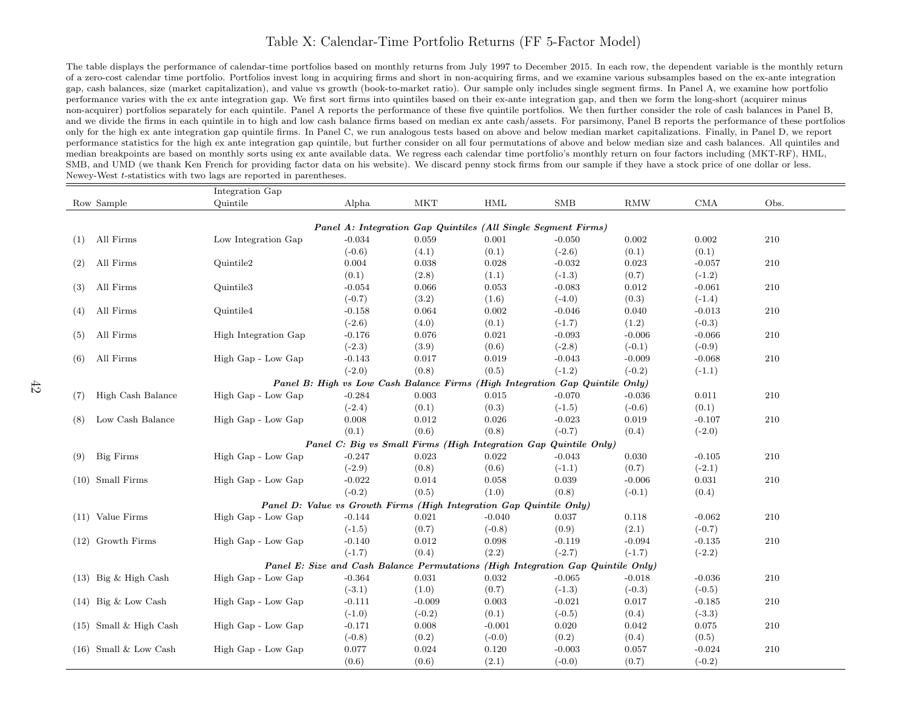#### Table X: Calendar-Time Portfolio Returns (FF 5-Factor Model)

The table displays the performance of calendar-time portfolios based on monthly returns from July 1997 to December 2015. In each row, the dependent variable is the monthly returnof <sup>a</sup> zero-cost calendar time portfolio. Portfolios invest long in acquiring firms and short in non-acquiring firms, and we examine various subsamples based on the ex-ante integrationgap, cash balances, size (market capitalization), and value vs growth (book-to-market ratio). Our sample only includes single segment firms. In Panel A, we examine how portfolioperformance varies with the ex ante integration gap. We first sort firms into quintiles based on their ex-ante integration gap, and then we form the long-short (acquirer minus non-acquirer) portfolios separately for each quintile. Panel A reports the performance of these five quintile portfolios. We then further consider the role of cash balances in Panel B,and we divide the firms in each quintile in to high and low cash balance firms based on median ex ante cash/assets. For parsimony, Panel B reports the performance of these portfolios only for the high ex ante integration gap quintile firms. In Panel C, we run analogous tests based on above and below median market capitalizations. Finally, in Panel D, we report performance statistics for the high ex ante integration gap quintile, but further consider on all four permutations of above and below median size and cash balances. All quintiles andmedian breakpoints are based on monthly sorts using ex ante available data. We regress each calendar time portfolio's monthly return on four factors including (MKT-RF), HML,SMB, and UMD (we thank Ken French for providing factor data on his website). We discard penny stock firms from our sample if they have a stock price of one dollar or less. Newey-West <sup>t</sup>-statistics with two lags are reported in parentheses.

|     |                          | Integration Gap      |          |                                         |                                                                     |                                                                                  |            |          |      |
|-----|--------------------------|----------------------|----------|-----------------------------------------|---------------------------------------------------------------------|----------------------------------------------------------------------------------|------------|----------|------|
|     | Row Sample               | Quintile             | Alpha    | <b>MKT</b>                              | HML                                                                 | <b>SMB</b>                                                                       | <b>RMW</b> | CMA      | Obs. |
|     |                          |                      |          |                                         |                                                                     |                                                                                  |            |          |      |
|     |                          |                      |          |                                         |                                                                     | Panel A: Integration Gap Quintiles (All Single Segment Firms)                    |            |          |      |
| (1) | All Firms                | Low Integration Gap  | $-0.034$ | 0.059                                   | 0.001                                                               | $-0.050$                                                                         | 0.002      | 0.002    | 210  |
|     |                          |                      | $(-0.6)$ | (4.1)                                   | (0.1)                                                               | $(-2.6)$                                                                         | (0.1)      | (0.1)    |      |
| (2) | All Firms                | Quintile2            | 0.004    | 0.038                                   | 0.028                                                               | $-0.032$                                                                         | 0.023      | $-0.057$ | 210  |
|     |                          |                      | (0.1)    | (2.8)                                   | (1.1)                                                               | $(-1.3)$                                                                         | (0.7)      | $(-1.2)$ |      |
| (3) | All Firms                | Quintile3            | $-0.054$ | 0.066                                   | 0.053                                                               | $-0.083$                                                                         | 0.012      | $-0.061$ | 210  |
|     |                          |                      | $(-0.7)$ | (3.2)                                   | (1.6)                                                               | $(-4.0)$                                                                         | (0.3)      | $(-1.4)$ |      |
| (4) | All Firms                | Quintile4            | $-0.158$ | 0.064                                   | 0.002                                                               | $-0.046$                                                                         | 0.040      | $-0.013$ | 210  |
|     |                          |                      | $(-2.6)$ | (4.0)                                   | (0.1)                                                               | $(-1.7)$                                                                         | (1.2)      | $(-0.3)$ |      |
| (5) | All Firms                | High Integration Gap | $-0.176$ | 0.076                                   | 0.021                                                               | $-0.093$                                                                         | $-0.006$   | $-0.066$ | 210  |
|     |                          |                      | $(-2.3)$ | (3.9)                                   | (0.6)                                                               | $(-2.8)$                                                                         | $(-0.1)$   | $(-0.9)$ |      |
| (6) | All Firms                | High Gap - Low Gap   | $-0.143$ | 0.017                                   | 0.019                                                               | $-0.043$                                                                         | $-0.009$   | $-0.068$ | 210  |
|     |                          |                      | $(-2.0)$ | (0.8)                                   | (0.5)                                                               | $(-1.2)$                                                                         | $(-0.2)$   | $(-1.1)$ |      |
|     |                          |                      |          | Panel B: High vs Low Cash Balance Firms |                                                                     | (High Integration Gap Quintile Only)                                             |            |          |      |
| (7) | High Cash Balance        | High Gap - Low Gap   | $-0.284$ | 0.003                                   | 0.015                                                               | $-0.070$                                                                         | $-0.036$   | 0.011    | 210  |
|     |                          |                      | $(-2.4)$ | (0.1)                                   | (0.3)                                                               | $(-1.5)$                                                                         | $(-0.6)$   | (0.1)    |      |
| (8) | Low Cash Balance         | High Gap - Low Gap   | 0.008    | 0.012                                   | 0.026                                                               | $-0.023$                                                                         | 0.019      | $-0.107$ | 210  |
|     |                          |                      | (0.1)    | (0.6)                                   | (0.8)                                                               | $(-0.7)$                                                                         | (0.4)      | $(-2.0)$ |      |
|     |                          |                      |          |                                         |                                                                     | Panel C: Big vs Small Firms (High Integration Gap Quintile Only)                 |            |          |      |
| (9) | <b>Big Firms</b>         | High Gap - Low Gap   | $-0.247$ | 0.023                                   | 0.022                                                               | $-0.043$                                                                         | 0.030      | $-0.105$ | 210  |
|     |                          |                      | $(-2.9)$ | (0.8)                                   | (0.6)                                                               | $(-1.1)$                                                                         | (0.7)      | $(-2.1)$ |      |
|     | $(10)$ Small Firms       | High Gap - Low Gap   | $-0.022$ | 0.014                                   | 0.058                                                               | 0.039                                                                            | $-0.006$   | 0.031    | 210  |
|     |                          |                      | $(-0.2)$ | (0.5)                                   | (1.0)                                                               | (0.8)                                                                            | $(-0.1)$   | (0.4)    |      |
|     |                          |                      |          |                                         | Panel D: Value vs Growth Firms (High Integration Gap Quintile Only) |                                                                                  |            |          |      |
|     | $(11)$ Value Firms       | High Gap - Low Gap   | $-0.144$ | 0.021                                   | $-0.040$                                                            | 0.037                                                                            | 0.118      | $-0.062$ | 210  |
|     |                          |                      | $(-1.5)$ | (0.7)                                   | $(-0.8)$                                                            | (0.9)                                                                            | (2.1)      | $(-0.7)$ |      |
|     | $(12)$ Growth Firms      | High Gap - Low Gap   | $-0.140$ | 0.012                                   | 0.098                                                               | $-0.119$                                                                         | $-0.094$   | $-0.135$ | 210  |
|     |                          |                      | $(-1.7)$ | (0.4)                                   | (2.2)                                                               | $(-2.7)$                                                                         | $(-1.7)$   | $(-2.2)$ |      |
|     |                          |                      |          |                                         |                                                                     | Panel E: Size and Cash Balance Permutations (High Integration Gap Quintile Only) |            |          |      |
|     | $(13)$ Big & High Cash   | High Gap - Low Gap   | $-0.364$ | 0.031                                   | 0.032                                                               | $-0.065$                                                                         | $-0.018$   | $-0.036$ | 210  |
|     |                          |                      | $(-3.1)$ | (1.0)                                   | (0.7)                                                               | $(-1.3)$                                                                         | $(-0.3)$   | $(-0.5)$ |      |
|     | $(14)$ Big & Low Cash    | High Gap - Low Gap   | $-0.111$ | $-0.009$                                | 0.003                                                               | $-0.021$                                                                         | 0.017      | $-0.185$ | 210  |
|     |                          |                      | $(-1.0)$ | $(-0.2)$                                | (0.1)                                                               | $(-0.5)$                                                                         | (0.4)      | $(-3.3)$ |      |
|     | $(15)$ Small & High Cash | High Gap - Low Gap   | $-0.171$ | 0.008                                   | $-0.001$                                                            | 0.020                                                                            | 0.042      | 0.075    | 210  |
|     |                          |                      | $(-0.8)$ | (0.2)                                   | $(-0.0)$                                                            | (0.2)                                                                            | (0.4)      | (0.5)    |      |
|     | $(16)$ Small & Low Cash  | High Gap - Low Gap   | 0.077    | 0.024                                   | 0.120                                                               | $-0.003$                                                                         | 0.057      | $-0.024$ | 210  |
|     |                          |                      | (0.6)    | (0.6)                                   | (2.1)                                                               | $(-0.0)$                                                                         | (0.7)      | $(-0.2)$ |      |
|     |                          |                      |          |                                         |                                                                     |                                                                                  |            |          |      |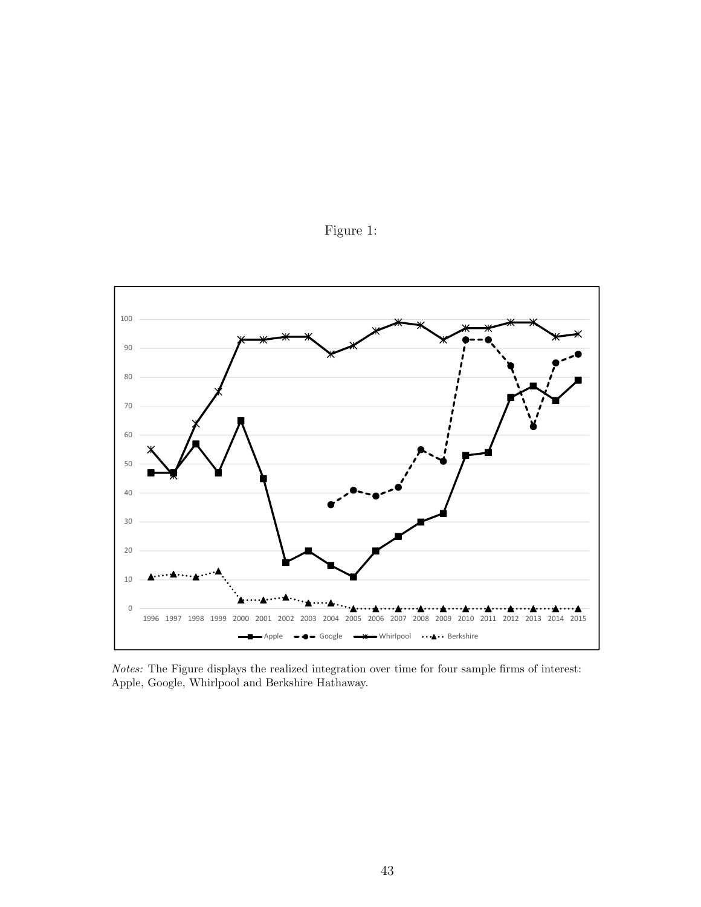

Figure 1:

Notes: The Figure displays the realized integration over time for four sample firms of interest: Apple, Google, Whirlpool and Berkshire Hathaway.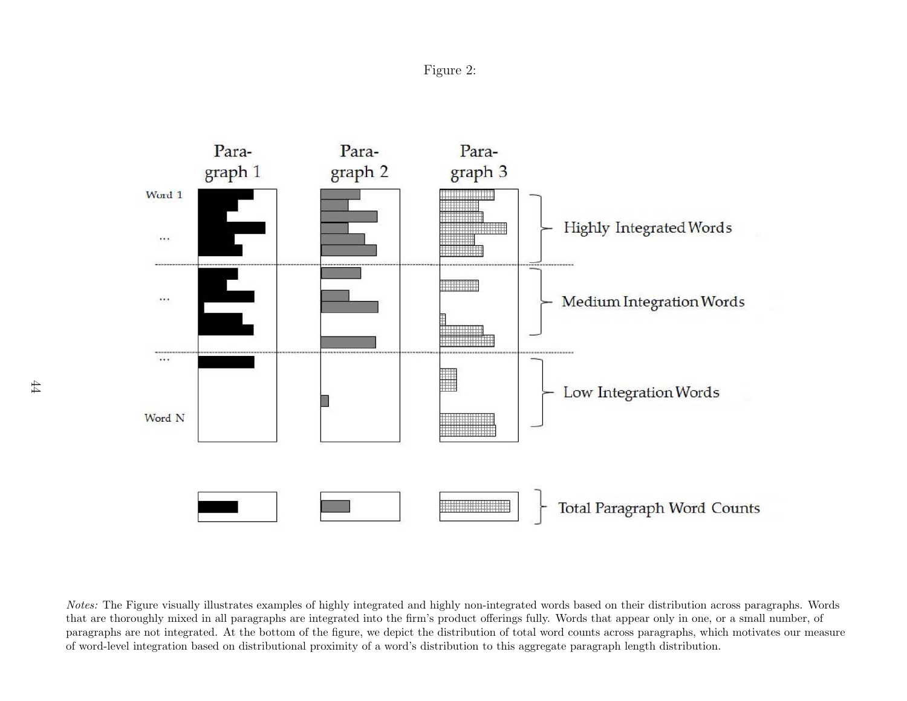



Notes: The Figure visually illustrates examples of highly integrated and highly non-integrated words based on their distribution across paragraphs. Wordsthat are thoroughly mixed in all paragraphs are integrated into the firm's product offerings fully. Words that appear only in one, or <sup>a</sup> small number, of paragraphs are not integrated. At the bottom of the figure, we depict the distribution of total word counts across paragraphs, which motivates our measureof word-level integration based on distributional proximity of <sup>a</sup> word's distribution to this aggregate paragraph length distribution.